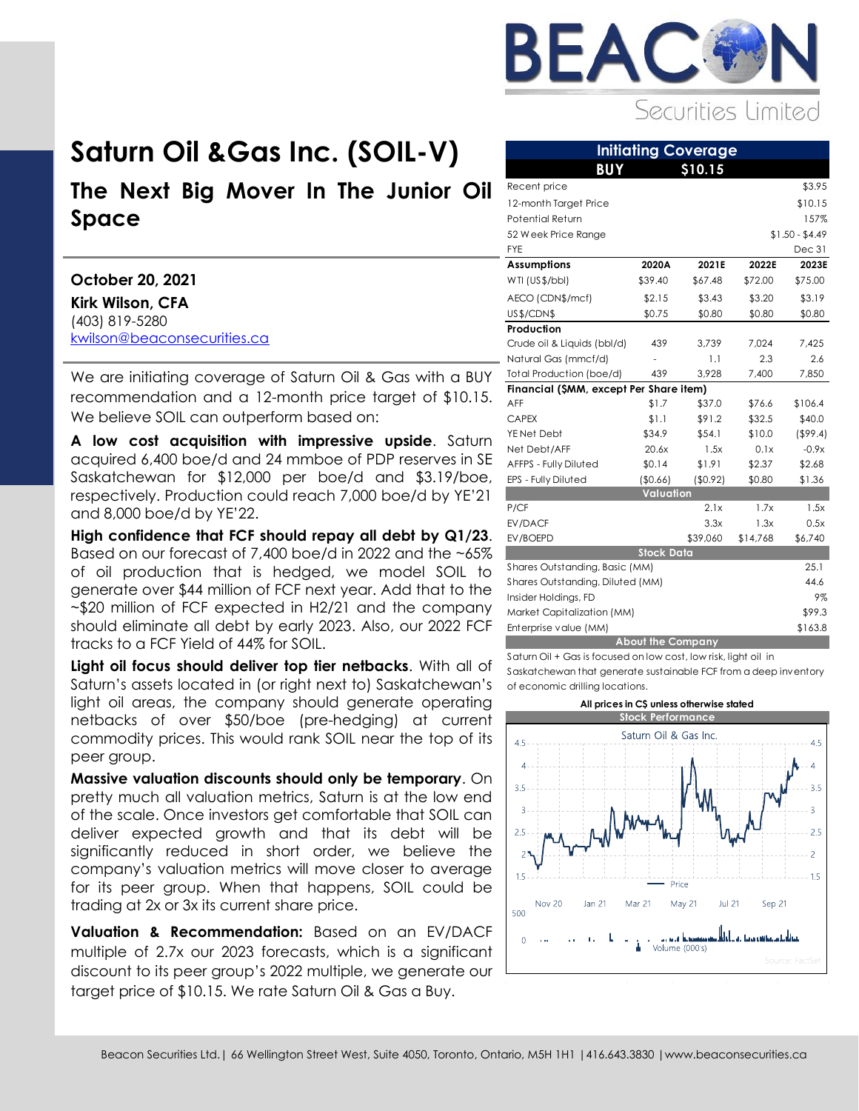

## Securities Limited

# **Saturn Oil &Gas Inc. (SOIL-V) The Next Big Mover In The Junior Oil Space**

**October 20, 2021 Kirk Wilson, CFA** (403) 819-5280 [kwilson@beaconsecurities.ca](mailto:kwilson@beaconsecurities.ca)

We are initiating coverage of Saturn Oil & Gas with a BUY recommendation and a 12-month price target of \$10.15. We believe SOIL can outperform based on:

**A low cost acquisition with impressive upside**. Saturn acquired 6,400 boe/d and 24 mmboe of PDP reserves in SE Saskatchewan for \$12,000 per boe/d and \$3.19/boe, respectively. Production could reach 7,000 boe/d by YE'21 and 8,000 boe/d by YE'22.

**High confidence that FCF should repay all debt by Q1/23**. Based on our forecast of 7,400 boe/d in 2022 and the ~65% of oil production that is hedged, we model SOIL to generate over \$44 million of FCF next year. Add that to the ~\$20 million of FCF expected in H2/21 and the company should eliminate all debt by early 2023. Also, our 2022 FCF tracks to a FCF Yield of 44% for SOIL.

**Light oil focus should deliver top tier netbacks**. With all of Saturn's assets located in (or right next to) Saskatchewan's light oil areas, the company should generate operating netbacks of over \$50/boe (pre-hedging) at current commodity prices. This would rank SOIL near the top of its peer group.

**Massive valuation discounts should only be temporary**. On pretty much all valuation metrics, Saturn is at the low end of the scale. Once investors get comfortable that SOIL can deliver expected growth and that its debt will be significantly reduced in short order, we believe the company's valuation metrics will move closer to average for its peer group. When that happens, SOIL could be trading at 2x or 3x its current share price.

**Valuation & Recommendation:** Based on an EV/DACF multiple of 2.7x our 2023 forecasts, which is a significant discount to its peer group's 2022 multiple, we generate our target price of \$10.15. We rate Saturn Oil & Gas a Buy.

|                                          |                                        | <b>Initiating Coverage</b> |          |                 |  |  |
|------------------------------------------|----------------------------------------|----------------------------|----------|-----------------|--|--|
| <b>BUY</b>                               |                                        | \$10.15                    |          |                 |  |  |
| Recent price                             |                                        |                            |          | \$3.95          |  |  |
| 12-month Target Price                    |                                        |                            |          | \$10.15         |  |  |
| Potential Return                         |                                        |                            |          | 157%            |  |  |
| 52 Week Price Range                      |                                        |                            |          | $$1.50 - $4.49$ |  |  |
| <b>FYE</b>                               |                                        |                            |          | Dec 31          |  |  |
| Assumptions                              | 2020A                                  | 2021E                      | 2022E    | 2023E           |  |  |
| WTI (US\$/bbl)                           | \$39.40                                | \$67.48                    | \$72.00  | \$75.00         |  |  |
| AECO (CDN\$/mcf)                         | \$2.15                                 | \$3.43                     | \$3.20   | \$3.19          |  |  |
| US\$/CDN\$                               | \$0.75                                 | \$0.80                     | \$0.80   | \$0.80          |  |  |
| Production                               |                                        |                            |          |                 |  |  |
| Crude oil & Liquids (bbl/d)              | 439                                    | 3,739                      | 7,024    | 7,425           |  |  |
| Natural Gas (mmcf/d)                     |                                        | 1.1                        | 2.3      | 2.6             |  |  |
| Total Production (boe/d)                 | 439                                    | 3,928                      | 7,400    | 7,850           |  |  |
| Financial (\$MM, except Per Share item)  |                                        |                            |          |                 |  |  |
| AFF                                      | \$1.7                                  | \$37.0                     | \$76.6   | \$106.4         |  |  |
| <b>CAPEX</b>                             | \$1.1                                  | \$91.2                     | \$32.5   | \$40.0          |  |  |
| YE Net Debt                              | \$34.9                                 | \$54.1                     | \$10.0   | ( \$99.4)       |  |  |
| Net Debt/AFF                             | 20.6x                                  | 1.5x                       | 0.1x     | $-0.9x$         |  |  |
| AFFPS - Fully Diluted                    | \$0.14                                 | \$1.91                     | \$2.37   | \$2.68          |  |  |
| EPS - Fully Diluted                      | (\$0.66)                               | (\$0.92)                   | \$0.80   | \$1.36          |  |  |
|                                          | Valuation                              |                            |          |                 |  |  |
| P/CF                                     |                                        | 2.1x                       | 1.7x     | 1.5x            |  |  |
| EV/DACF                                  |                                        | 3.3x                       | 1.3x     | 0.5x            |  |  |
| EV/BOEPD                                 |                                        | \$39,060                   | \$14,768 | \$6,740         |  |  |
|                                          | <b>Stock Data</b>                      |                            |          |                 |  |  |
|                                          | Shares Outstanding, Basic (MM)<br>25.1 |                            |          |                 |  |  |
| Shares Outstanding, Diluted (MM)<br>44.6 |                                        |                            |          |                 |  |  |
| Insider Holdings, FD                     |                                        |                            |          | 9%              |  |  |
| Market Capitalization (MM)               |                                        |                            |          | \$99.3          |  |  |
| Enterprise value (MM)                    |                                        |                            |          | \$163.8         |  |  |

**About the Company**

Saturn Oil + Gas is focused on low cost, low risk, light oil in

Saskatchewan that generate sustainable FCF from a deep inventory of economic drilling locations.

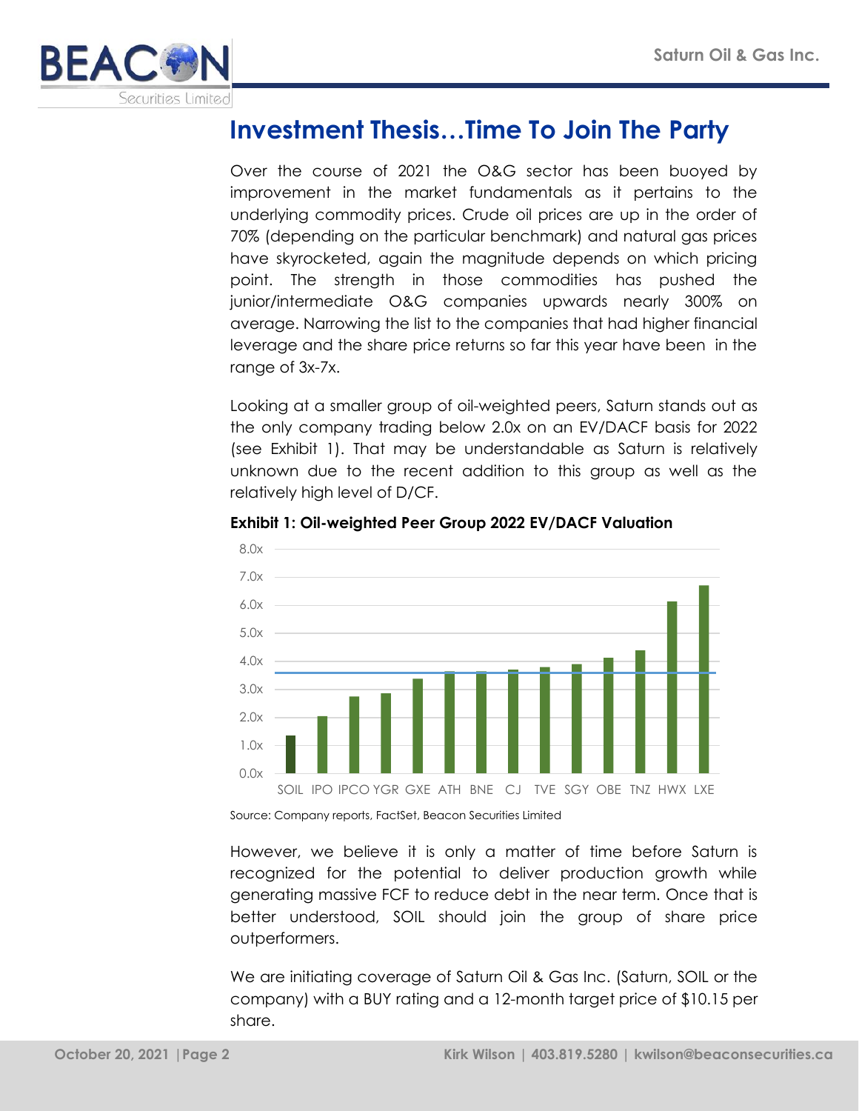

## **Investment Thesis…Time To Join The Party**

Over the course of 2021 the O&G sector has been buoyed by improvement in the market fundamentals as it pertains to the underlying commodity prices. Crude oil prices are up in the order of 70% (depending on the particular benchmark) and natural gas prices have skyrocketed, again the magnitude depends on which pricing point. The strength in those commodities has pushed the junior/intermediate O&G companies upwards nearly 300% on average. Narrowing the list to the companies that had higher financial leverage and the share price returns so far this year have been in the range of 3x-7x.

Looking at a smaller group of oil-weighted peers, Saturn stands out as the only company trading below 2.0x on an EV/DACF basis for 2022 (see Exhibit 1). That may be understandable as Saturn is relatively unknown due to the recent addition to this group as well as the relatively high level of D/CF.



#### **Exhibit 1: Oil-weighted Peer Group 2022 EV/DACF Valuation**

Source: Company reports, FactSet, Beacon Securities Limited

However, we believe it is only a matter of time before Saturn is recognized for the potential to deliver production growth while generating massive FCF to reduce debt in the near term. Once that is better understood, SOIL should join the group of share price outperformers.

We are initiating coverage of Saturn Oil & Gas Inc. (Saturn, SOIL or the company) with a BUY rating and a 12-month target price of \$10.15 per share.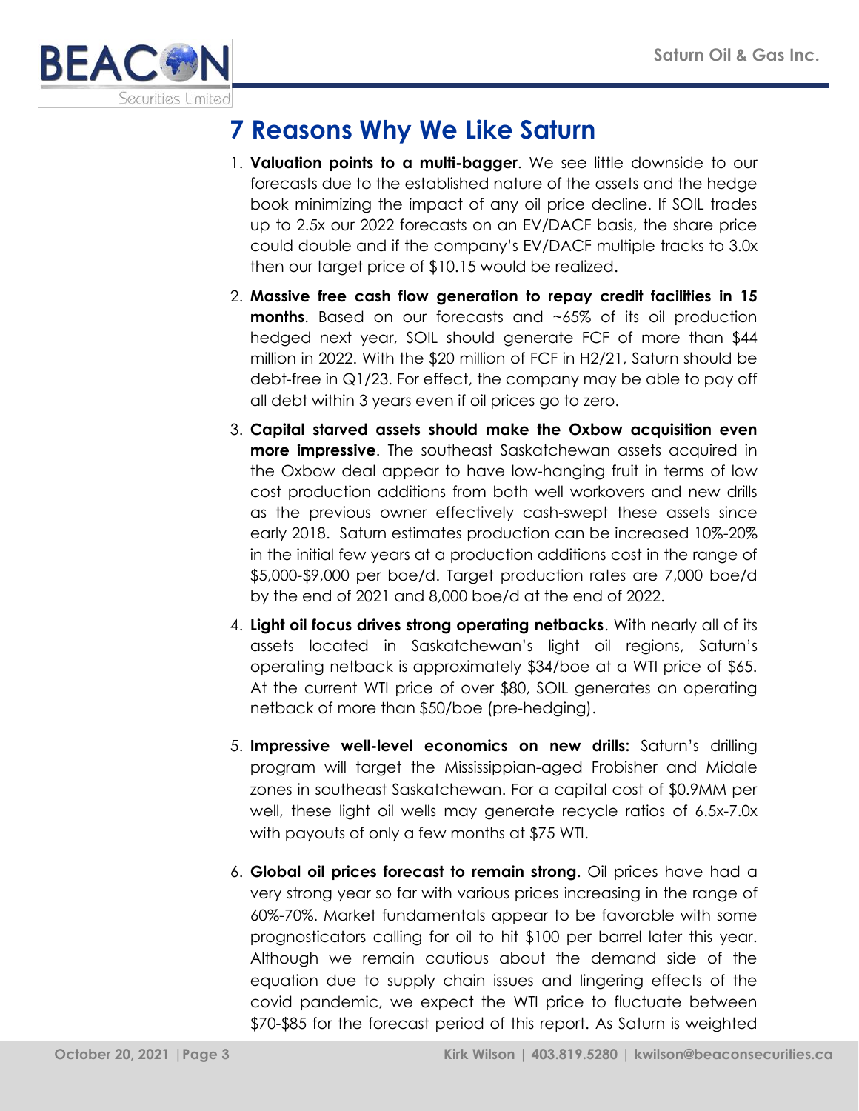

# **7 Reasons Why We Like Saturn**

- 1. **Valuation points to a multi-bagger**. We see little downside to our forecasts due to the established nature of the assets and the hedge book minimizing the impact of any oil price decline. If SOIL trades up to 2.5x our 2022 forecasts on an EV/DACF basis, the share price could double and if the company's EV/DACF multiple tracks to 3.0x then our target price of \$10.15 would be realized.
- 2. **Massive free cash flow generation to repay credit facilities in 15 months**. Based on our forecasts and ~65% of its oil production hedged next year, SOIL should generate FCF of more than \$44 million in 2022. With the \$20 million of FCF in H2/21, Saturn should be debt-free in Q1/23. For effect, the company may be able to pay off all debt within 3 years even if oil prices go to zero.
- 3. **Capital starved assets should make the Oxbow acquisition even more impressive**. The southeast Saskatchewan assets acquired in the Oxbow deal appear to have low-hanging fruit in terms of low cost production additions from both well workovers and new drills as the previous owner effectively cash-swept these assets since early 2018. Saturn estimates production can be increased 10%-20% in the initial few years at a production additions cost in the range of \$5,000-\$9,000 per boe/d. Target production rates are 7,000 boe/d by the end of 2021 and 8,000 boe/d at the end of 2022.
- 4. **Light oil focus drives strong operating netbacks**. With nearly all of its assets located in Saskatchewan's light oil regions, Saturn's operating netback is approximately \$34/boe at a WTI price of \$65. At the current WTI price of over \$80, SOIL generates an operating netback of more than \$50/boe (pre-hedging).
- 5. **Impressive well-level economics on new drills:** Saturn's drilling program will target the Mississippian-aged Frobisher and Midale zones in southeast Saskatchewan. For a capital cost of \$0.9MM per well, these light oil wells may generate recycle ratios of 6.5x-7.0x with payouts of only a few months at \$75 WTI.
- 6. **Global oil prices forecast to remain strong**. Oil prices have had a very strong year so far with various prices increasing in the range of 60%-70%. Market fundamentals appear to be favorable with some prognosticators calling for oil to hit \$100 per barrel later this year. Although we remain cautious about the demand side of the equation due to supply chain issues and lingering effects of the covid pandemic, we expect the WTI price to fluctuate between \$70-\$85 for the forecast period of this report. As Saturn is weighted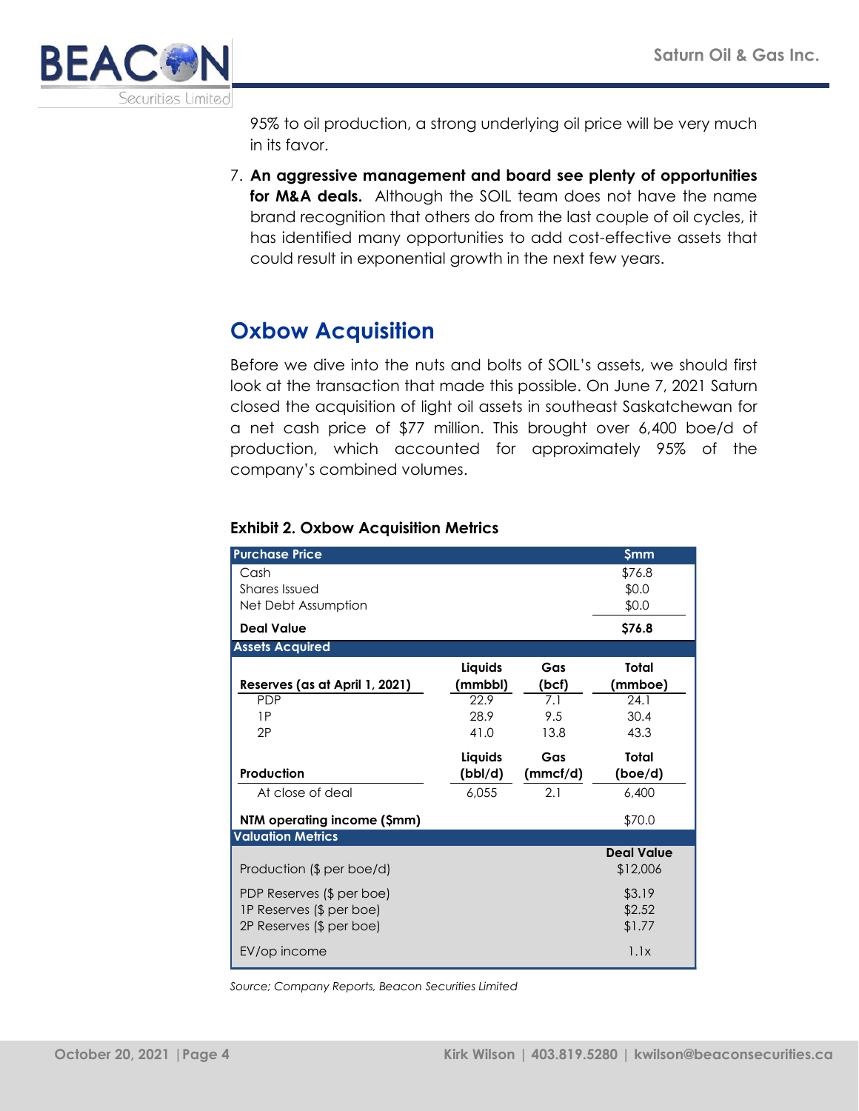

95% to oil production, a strong underlying oil price will be very much in its favor.

7. **An aggressive management and board see plenty of opportunities**  for M&A deals. Although the SOIL team does not have the name brand recognition that others do from the last couple of oil cycles, it has identified many opportunities to add cost-effective assets that could result in exponential growth in the next few years.

## **Oxbow Acquisition**

Before we dive into the nuts and bolts of SOIL's assets, we should first look at the transaction that made this possible. On June 7, 2021 Saturn closed the acquisition of light oil assets in southeast Saskatchewan for a net cash price of \$77 million. This brought over 6,400 boe/d of production, which accounted for approximately 95% of the company's combined volumes.

| <b>Purchase Price</b>          |         |          | <b>Şmm</b>        |
|--------------------------------|---------|----------|-------------------|
| Cash                           |         |          | \$76.8            |
| Shares Issued                  |         |          | \$0.0             |
| Net Debt Assumption            |         |          | \$0.0             |
| <b>Deal Value</b>              |         |          | \$76.8            |
| <b>Assets Acquired</b>         |         |          |                   |
|                                | Liquids | Gas      | Total             |
| Reserves (as at April 1, 2021) | (mmbbl) | (bcf)    | (mmboe)           |
| <b>PDP</b>                     | 22.9    | 7.1      | 24.1              |
| 1P                             | 28.9    | 9.5      | 30.4              |
| 2P                             | 41.0    | 13.8     | 43.3              |
|                                | Liquids | Gas      | Total             |
| Production                     | (bbl/d) | (mmcf/d) | (boe/d)           |
| At close of deal               | 6,055   | 2.1      | 6,400             |
| NTM operating income (\$mm)    |         |          | \$70.0            |
| <b>Valuation Metrics</b>       |         |          |                   |
|                                |         |          | <b>Deal Value</b> |
| Production (\$ per boe/d)      |         |          | \$12,006          |
| PDP Reserves (\$ per boe)      |         |          | \$3.19            |
| IP Reserves (\$ per boe)       |         |          | \$2.52            |
| 2P Reserves (\$ per boe)       |         |          | \$1.77            |
| EV/op income                   |         |          | 1.1x              |

#### **Exhibit 2. Oxbow Acquisition Metrics**

*Source; Company Reports, Beacon Securities Limited*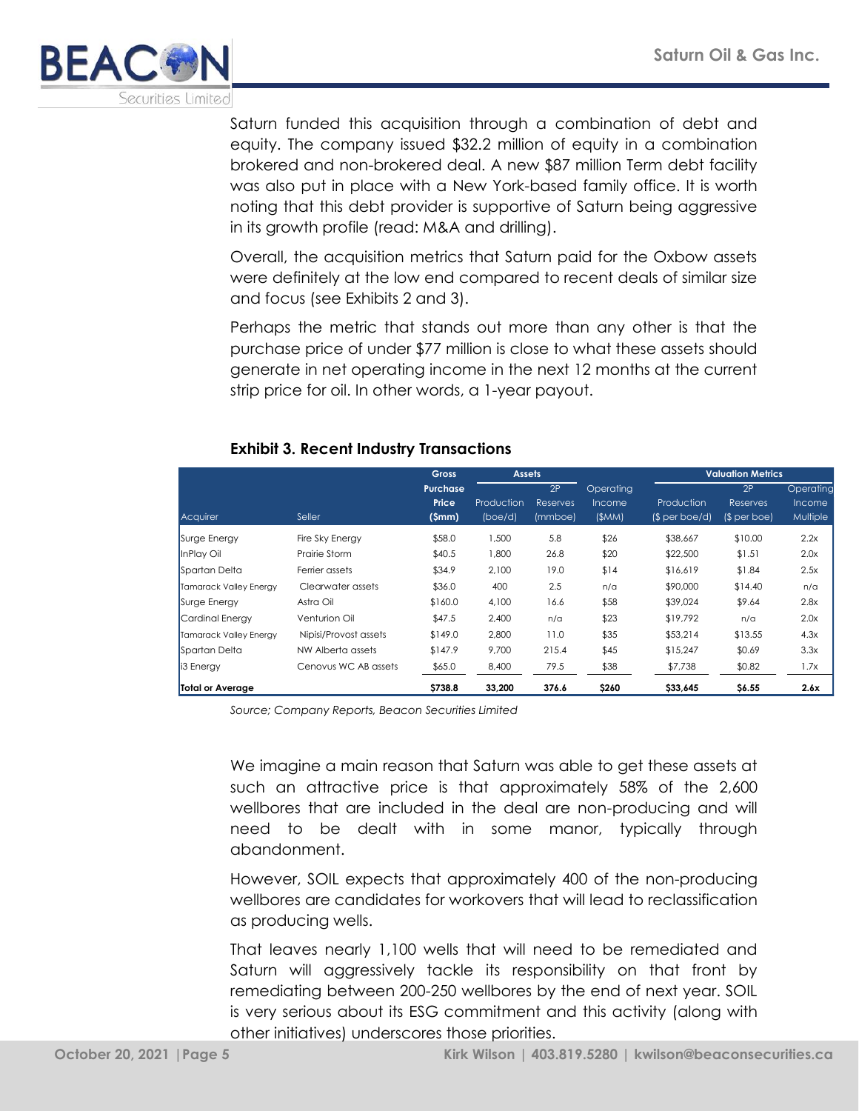

Saturn funded this acquisition through a combination of debt and equity. The company issued \$32.2 million of equity in a combination brokered and non-brokered deal. A new \$87 million Term debt facility was also put in place with a New York-based family office. It is worth noting that this debt provider is supportive of Saturn being aggressive in its growth profile (read: M&A and drilling).

Overall, the acquisition metrics that Saturn paid for the Oxbow assets were definitely at the low end compared to recent deals of similar size and focus (see Exhibits 2 and 3).

Perhaps the metric that stands out more than any other is that the purchase price of under \$77 million is close to what these assets should generate in net operating income in the next 12 months at the current strip price for oil. In other words, a 1-year payout.

|                        | <b>Assets</b><br><b>Gross</b> |                            |                       |                                  | <b>Valuation Metrics</b>     |                             |                                       |                                        |  |
|------------------------|-------------------------------|----------------------------|-----------------------|----------------------------------|------------------------------|-----------------------------|---------------------------------------|----------------------------------------|--|
| Acquirer               | Seller                        | Purchase<br>Price<br>(Smm) | Production<br>(boe/d) | 2P<br><b>Reserves</b><br>(mmboe) | Operatina<br>Income<br>(SMM) | Production<br>(S per boe/d) | 2P<br><b>Reserves</b><br>(\$ per boe) | Operating<br><b>Income</b><br>Multiple |  |
| Surge Energy           | Fire Sky Energy               | \$58.0                     | 1,500                 | 5.8                              | \$26                         | \$38,667                    | \$10.00                               | 2.2x                                   |  |
| InPlay Oil             | Prairie Storm                 | \$40.5                     | 1,800                 | 26.8                             | \$20                         | \$22,500                    | \$1.51                                | 2.0x                                   |  |
| Spartan Delta          | Ferrier assets                | \$34.9                     | 2,100                 | 19.0                             | \$14                         | \$16,619                    | \$1.84                                | 2.5x                                   |  |
| Tamarack Valley Energy | Clearwater assets             | \$36.0                     | 400                   | 2.5                              | n/a                          | \$90,000                    | \$14.40                               | n/a                                    |  |
| Surge Energy           | Astra Oil                     | \$160.0                    | 4,100                 | 16.6                             | \$58                         | \$39,024                    | \$9.64                                | 2.8x                                   |  |
| Cardinal Energy        | Venturion Oil                 | \$47.5                     | 2,400                 | n/a                              | \$23                         | \$19,792                    | n/a                                   | 2.0x                                   |  |
| Tamarack Valley Energy | Nipisi/Provost assets         | \$149.0                    | 2,800                 | 11.0                             | \$35                         | \$53,214                    | \$13.55                               | 4.3x                                   |  |
| Spartan Delta          | NW Alberta assets             | \$147.9                    | 9,700                 | 215.4                            | \$45                         | \$15,247                    | \$0.69                                | 3.3x                                   |  |
| 13 Energy              | Cenovus WC AB assets          | \$65.0                     | 8,400                 | 79.5                             | \$38                         | \$7,738                     | \$0.82                                | 1.7x                                   |  |
| Total or Average       |                               | \$738.8                    | 33,200                | 376.6                            | \$260                        | \$33,645                    | \$6.55                                | 2.6x                                   |  |

#### **Exhibit 3. Recent Industry Transactions**

*Source; Company Reports, Beacon Securities Limited*

We imagine a main reason that Saturn was able to get these assets at such an attractive price is that approximately 58% of the 2,600 wellbores that are included in the deal are non-producing and will need to be dealt with in some manor, typically through abandonment.

However, SOIL expects that approximately 400 of the non-producing wellbores are candidates for workovers that will lead to reclassification as producing wells.

That leaves nearly 1,100 wells that will need to be remediated and Saturn will aggressively tackle its responsibility on that front by remediating between 200-250 wellbores by the end of next year. SOIL is very serious about its ESG commitment and this activity (along with other initiatives) underscores those priorities.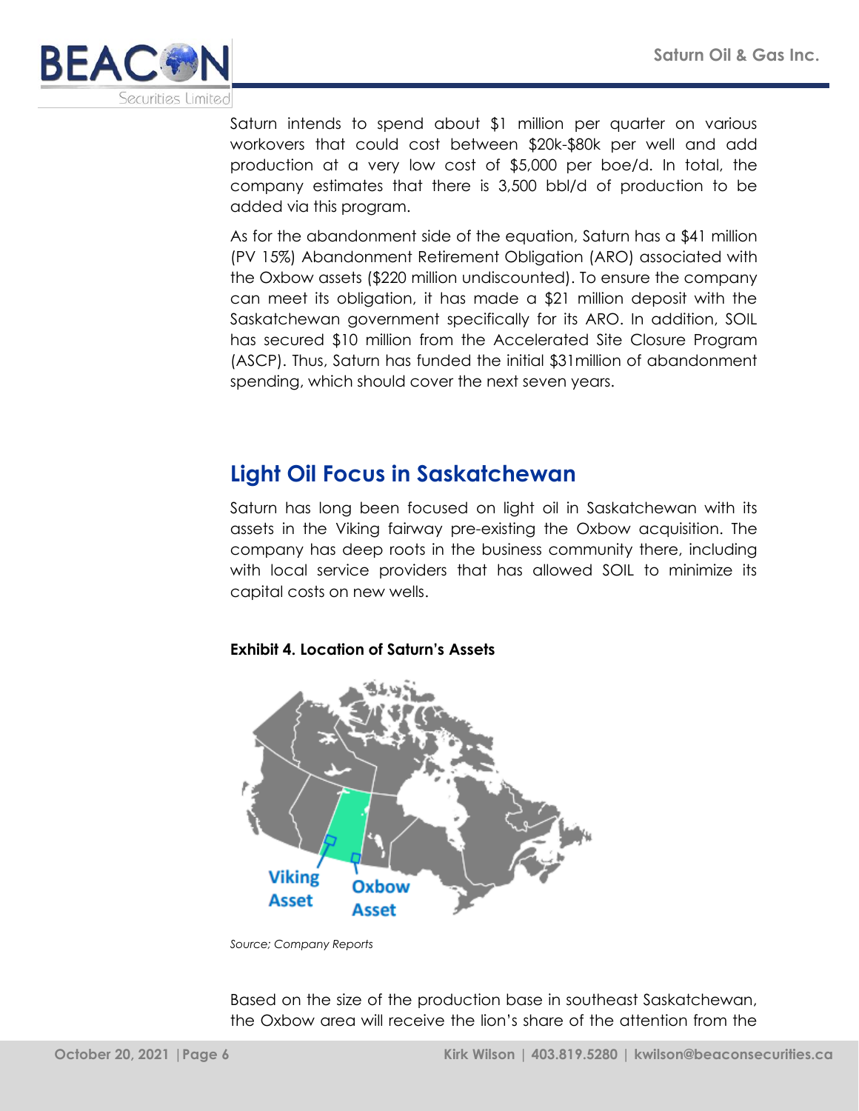

Saturn intends to spend about \$1 million per quarter on various workovers that could cost between \$20k-\$80k per well and add production at a very low cost of \$5,000 per boe/d. In total, the company estimates that there is 3,500 bbl/d of production to be added via this program.

As for the abandonment side of the equation, Saturn has a \$41 million (PV 15%) Abandonment Retirement Obligation (ARO) associated with the Oxbow assets (\$220 million undiscounted). To ensure the company can meet its obligation, it has made a \$21 million deposit with the Saskatchewan government specifically for its ARO. In addition, SOIL has secured \$10 million from the Accelerated Site Closure Program (ASCP). Thus, Saturn has funded the initial \$31million of abandonment spending, which should cover the next seven years.

### **Light Oil Focus in Saskatchewan**

Saturn has long been focused on light oil in Saskatchewan with its assets in the Viking fairway pre-existing the Oxbow acquisition. The company has deep roots in the business community there, including with local service providers that has allowed SOIL to minimize its capital costs on new wells.

#### **Exhibit 4. Location of Saturn's Assets**



*Source; Company Reports*

Based on the size of the production base in southeast Saskatchewan, the Oxbow area will receive the lion's share of the attention from the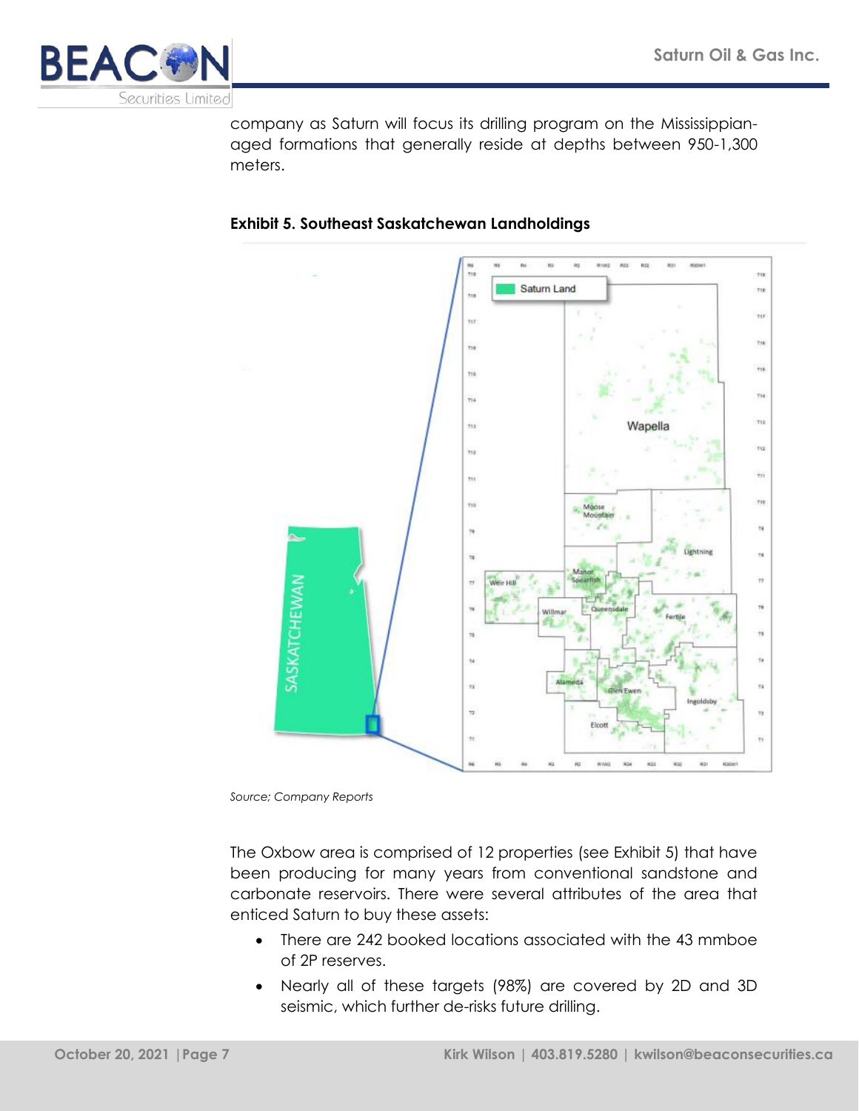

company as Saturn will focus its drilling program on the Mississippianaged formations that generally reside at depths between 950-1,300 meters.



### **Exhibit 5. Southeast Saskatchewan Landholdings**

*Source; Company Reports*

The Oxbow area is comprised of 12 properties (see Exhibit 5) that have been producing for many years from conventional sandstone and carbonate reservoirs. There were several attributes of the area that enticed Saturn to buy these assets:

- There are 242 booked locations associated with the 43 mmboe of 2P reserves.
- Nearly all of these targets (98%) are covered by 2D and 3D seismic, which further de-risks future drilling.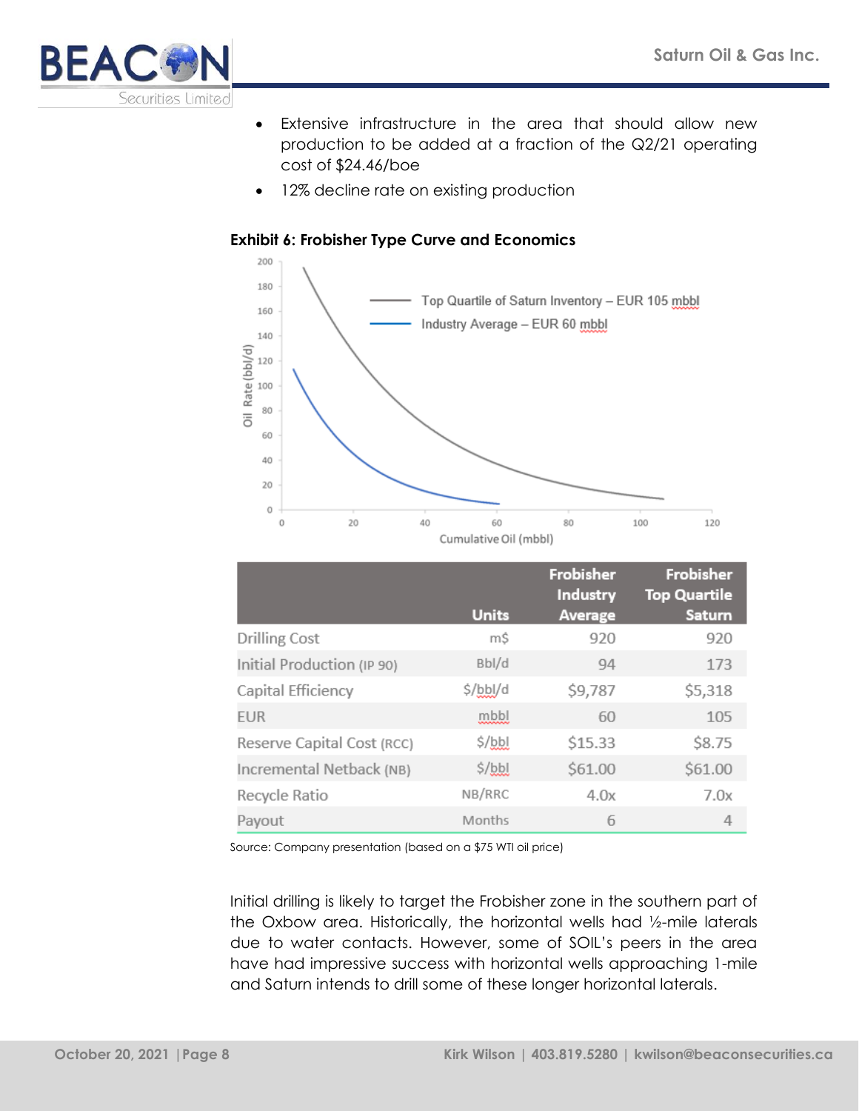

- Extensive infrastructure in the area that should allow new production to be added at a fraction of the Q2/21 operating cost of \$24.46/boe
- 12% decline rate on existing production



#### **Exhibit 6: Frobisher Type Curve and Economics**

|                            |                                       | Frobisher<br><b>Industry</b> | Frobisher<br><b>Top Quartile</b> |
|----------------------------|---------------------------------------|------------------------------|----------------------------------|
|                            | <b>Units</b>                          | <b>Average</b>               | Saturn                           |
| Drilling Cost              | m\$                                   | 920                          | 920                              |
| Initial Production (IP 90) | Bbl/d                                 | 94                           | 173                              |
| Capital Efficiency         | \$/bbl/d                              | \$9,787                      | \$5,318                          |
| <b>EUR</b>                 | mbbl                                  | 60                           | 105                              |
| Reserve Capital Cost (RCC) | $\frac{\sinh(\theta)}{\sinh(\theta)}$ | \$15.33                      | \$8.75                           |
| Incremental Netback (NB)   | $\frac{1}{2}$                         | \$61.00                      | \$61.00                          |
| Recycle Ratio              | NB/RRC                                | 4.0x                         | 7.0x                             |
| Payout                     | Months                                | 6                            | 4                                |

Source: Company presentation (based on a \$75 WTI oil price)

Initial drilling is likely to target the Frobisher zone in the southern part of the Oxbow area. Historically, the horizontal wells had ½-mile laterals due to water contacts. However, some of SOIL's peers in the area have had impressive success with horizontal wells approaching 1-mile and Saturn intends to drill some of these longer horizontal laterals.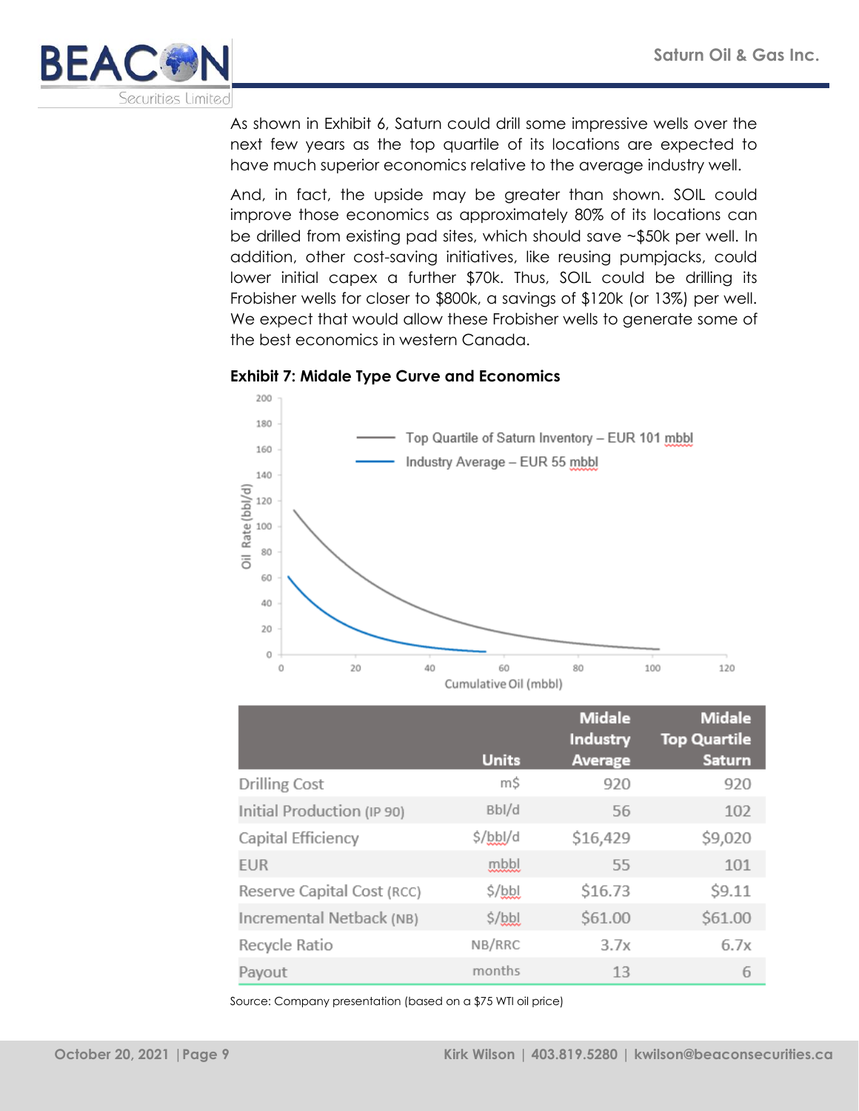

As shown in Exhibit 6, Saturn could drill some impressive wells over the next few years as the top quartile of its locations are expected to have much superior economics relative to the average industry well.

And, in fact, the upside may be greater than shown. SOIL could improve those economics as approximately 80% of its locations can be drilled from existing pad sites, which should save ~\$50k per well. In addition, other cost-saving initiatives, like reusing pumpjacks, could lower initial capex a further \$70k. Thus, SOIL could be drilling its Frobisher wells for closer to \$800k, a savings of \$120k (or 13%) per well. We expect that would allow these Frobisher wells to generate some of the best economics in western Canada.

#### **Exhibit 7: Midale Type Curve and Economics**



|                            |                                       | <b>Midale</b><br><b>Industry</b> | <b>Midale</b><br><b>Top Quartile</b> |
|----------------------------|---------------------------------------|----------------------------------|--------------------------------------|
|                            | <b>Units</b>                          | Average                          | <b>Saturn</b>                        |
| Drilling Cost              | m\$                                   | 920                              | 920                                  |
| Initial Production (IP 90) | Bbl/d                                 | 56                               | 102                                  |
| Capital Efficiency         | \$/bbl/d                              | \$16,429                         | \$9,020                              |
| <b>EUR</b>                 | mbbl                                  | 55                               | 101                                  |
| Reserve Capital Cost (RCC) | $\frac{\sinh(\theta)}{\sinh(\theta)}$ | \$16.73                          | \$9.11                               |
| Incremental Netback (NB)   | $\frac{\sinh(\theta)}{\sinh(\theta)}$ | \$61.00                          | \$61.00                              |
| Recycle Ratio              | NB/RRC                                | 3.7x                             | 6.7x                                 |
| Payout                     | months                                | 13                               | 6                                    |

Source: Company presentation (based on a \$75 WTI oil price)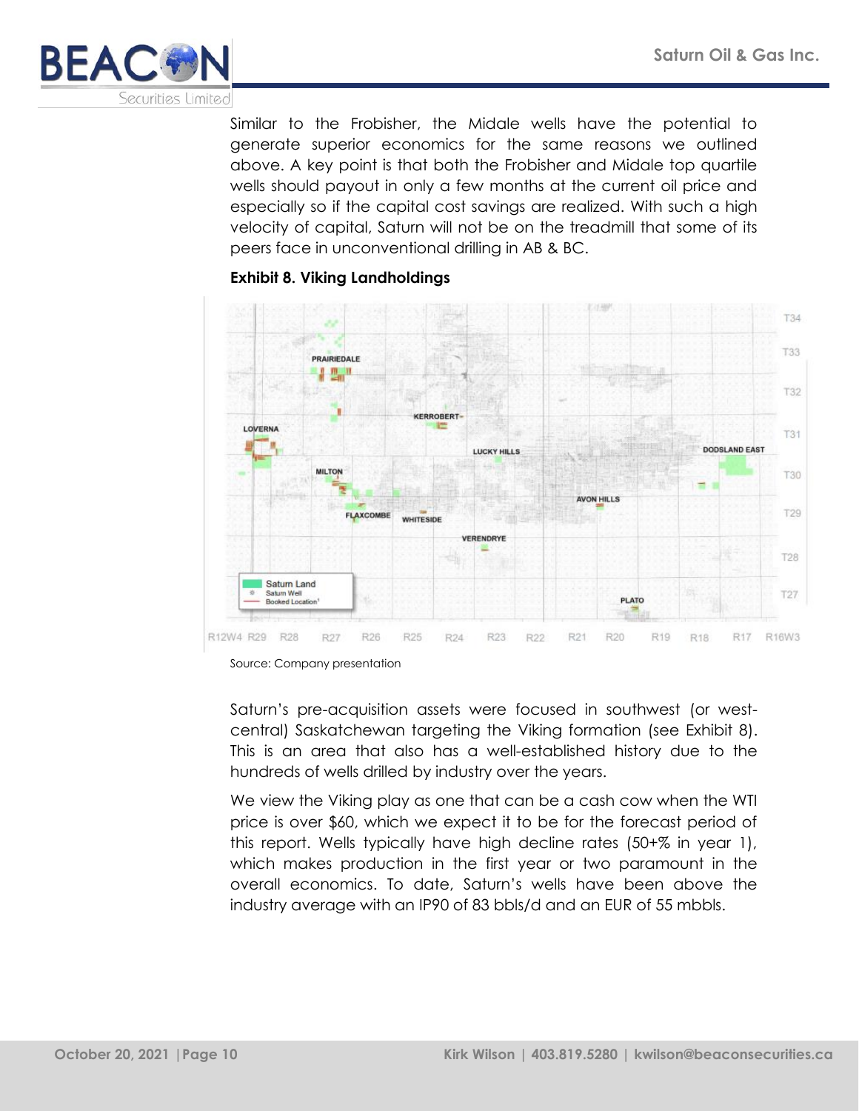

Similar to the Frobisher, the Midale wells have the potential to generate superior economics for the same reasons we outlined above. A key point is that both the Frobisher and Midale top quartile wells should payout in only a few months at the current oil price and especially so if the capital cost savings are realized. With such a high velocity of capital, Saturn will not be on the treadmill that some of its peers face in unconventional drilling in AB & BC.



#### **Exhibit 8. Viking Landholdings**

Source: Company presentation

Saturn's pre-acquisition assets were focused in southwest (or westcentral) Saskatchewan targeting the Viking formation (see Exhibit 8). This is an area that also has a well-established history due to the hundreds of wells drilled by industry over the years.

We view the Viking play as one that can be a cash cow when the WTI price is over \$60, which we expect it to be for the forecast period of this report. Wells typically have high decline rates (50+% in year 1), which makes production in the first year or two paramount in the overall economics. To date, Saturn's wells have been above the industry average with an IP90 of 83 bbls/d and an EUR of 55 mbbls.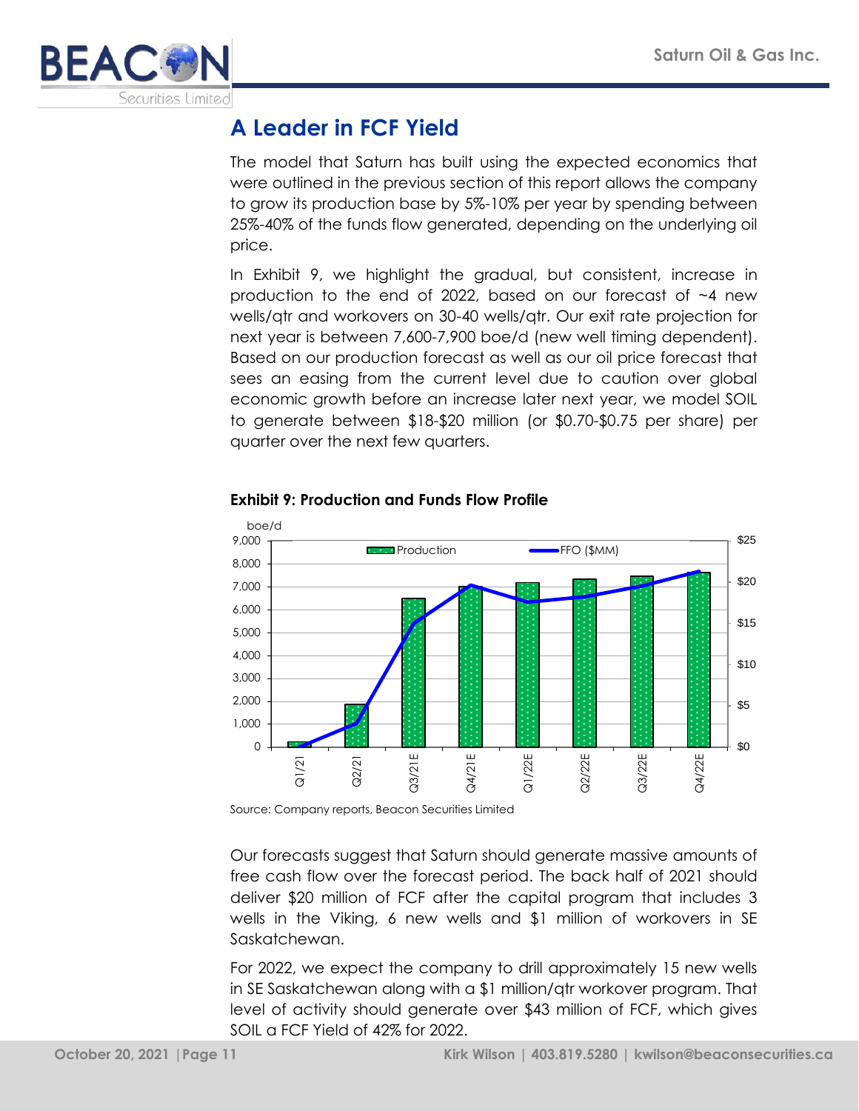

### **A Leader in FCF Yield**

The model that Saturn has built using the expected economics that were outlined in the previous section of this report allows the company to grow its production base by 5%-10% per year by spending between 25%-40% of the funds flow generated, depending on the underlying oil price.

In Exhibit 9, we highlight the gradual, but consistent, increase in production to the end of 2022, based on our forecast of ~4 new wells/qtr and workovers on 30-40 wells/qtr. Our exit rate projection for next year is between 7,600-7,900 boe/d (new well timing dependent). Based on our production forecast as well as our oil price forecast that sees an easing from the current level due to caution over global economic growth before an increase later next year, we model SOIL to generate between \$18-\$20 million (or \$0.70-\$0.75 per share) per quarter over the next few quarters.



#### **Exhibit 9: Production and Funds Flow Profile**

Source: Company reports, Beacon Securities Limited

Our forecasts suggest that Saturn should generate massive amounts of free cash flow over the forecast period. The back half of 2021 should deliver \$20 million of FCF after the capital program that includes 3 wells in the Viking, 6 new wells and \$1 million of workovers in SE Saskatchewan.

For 2022, we expect the company to drill approximately 15 new wells in SE Saskatchewan along with a \$1 million/qtr workover program. That level of activity should generate over \$43 million of FCF, which gives SOIL a FCF Yield of 42% for 2022.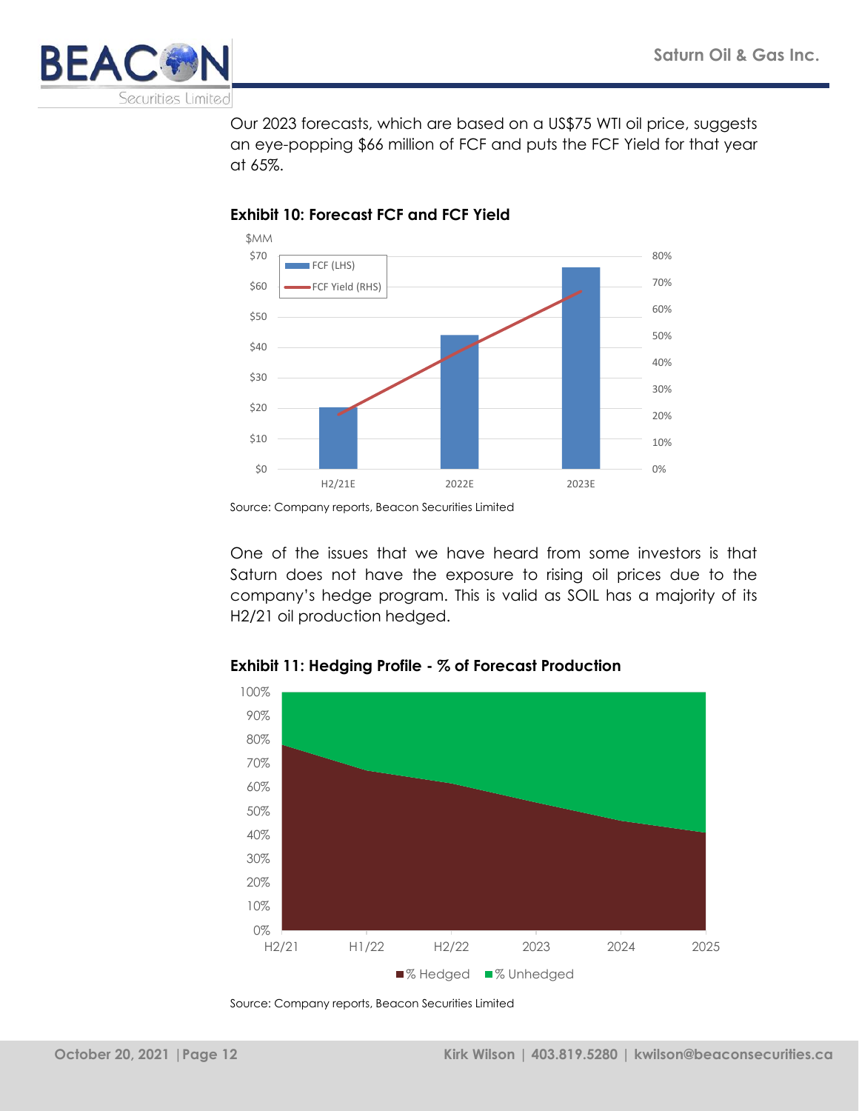

Our 2023 forecasts, which are based on a US\$75 WTI oil price, suggests an eye-popping \$66 million of FCF and puts the FCF Yield for that year at 65%.



#### **Exhibit 10: Forecast FCF and FCF Yield**

One of the issues that we have heard from some investors is that Saturn does not have the exposure to rising oil prices due to the company's hedge program. This is valid as SOIL has a majority of its H2/21 oil production hedged.



#### **Exhibit 11: Hedging Profile - % of Forecast Production**

Source: Company reports, Beacon Securities Limited

Source: Company reports, Beacon Securities Limited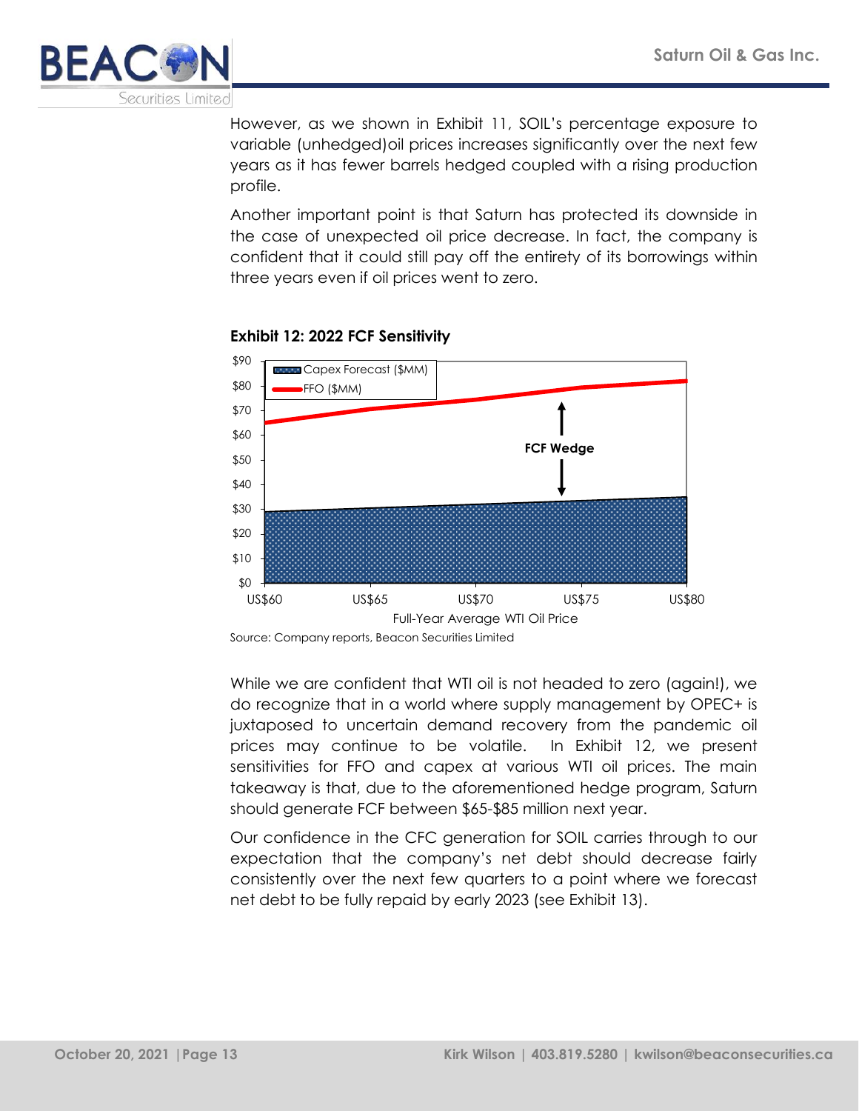

However, as we shown in Exhibit 11, SOIL's percentage exposure to variable (unhedged)oil prices increases significantly over the next few years as it has fewer barrels hedged coupled with a rising production profile.

Another important point is that Saturn has protected its downside in the case of unexpected oil price decrease. In fact, the company is confident that it could still pay off the entirety of its borrowings within three years even if oil prices went to zero.



#### **Exhibit 12: 2022 FCF Sensitivity**

While we are confident that WTI oil is not headed to zero (again!), we do recognize that in a world where supply management by OPEC+ is juxtaposed to uncertain demand recovery from the pandemic oil prices may continue to be volatile. In Exhibit 12, we present sensitivities for FFO and capex at various WTI oil prices. The main takeaway is that, due to the aforementioned hedge program, Saturn should generate FCF between \$65-\$85 million next year.

Our confidence in the CFC generation for SOIL carries through to our expectation that the company's net debt should decrease fairly consistently over the next few quarters to a point where we forecast net debt to be fully repaid by early 2023 (see Exhibit 13).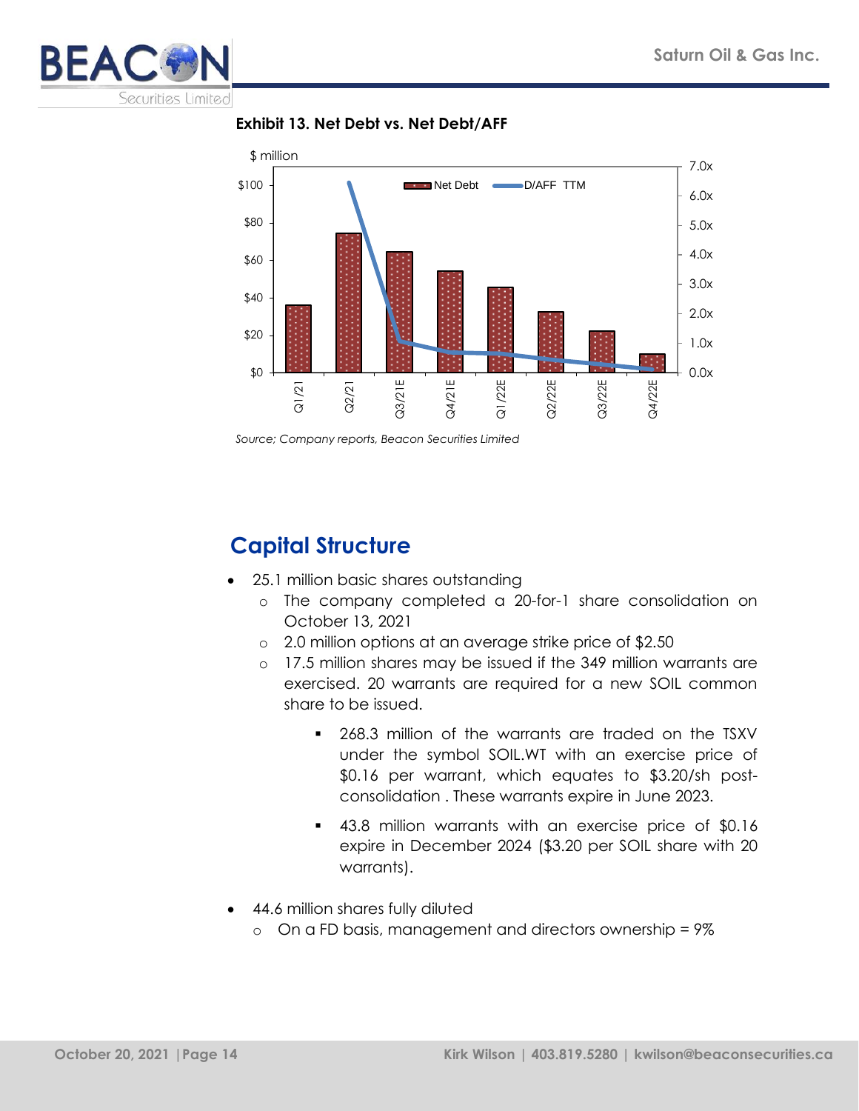

**Exhibit 13. Net Debt vs. Net Debt/AFF**



*Source; Company reports, Beacon Securities Limited*

# **Capital Structure**

- 25.1 million basic shares outstanding
	- o The company completed a 20-for-1 share consolidation on October 13, 2021
	- o 2.0 million options at an average strike price of \$2.50
	- o 17.5 million shares may be issued if the 349 million warrants are exercised. 20 warrants are required for a new SOIL common share to be issued.
		- 268.3 million of the warrants are traded on the TSXV under the symbol SOIL.WT with an exercise price of \$0.16 per warrant, which equates to \$3.20/sh postconsolidation . These warrants expire in June 2023.
		- 43.8 million warrants with an exercise price of \$0.16 expire in December 2024 (\$3.20 per SOIL share with 20 warrants).
- 44.6 million shares fully diluted
	- o On a FD basis, management and directors ownership = 9%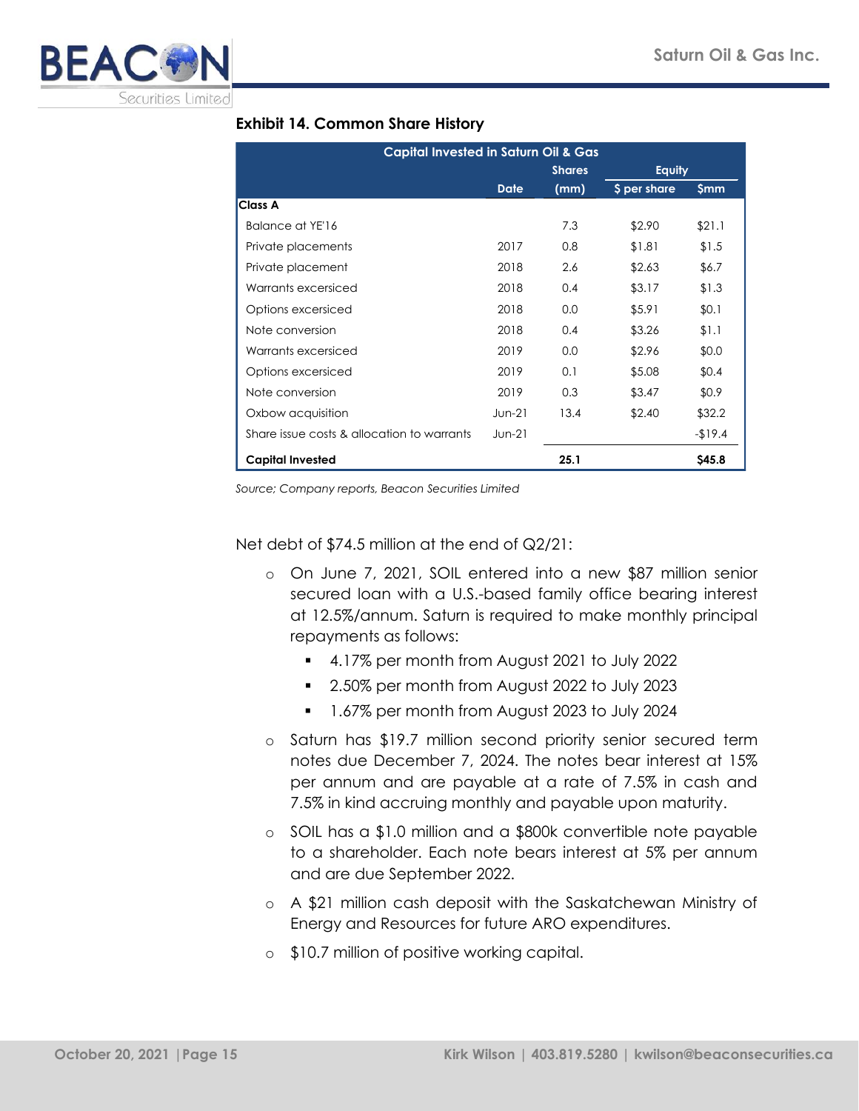

| <b>Capital Invested in Saturn Oil &amp; Gas</b> |             |               |               |            |
|-------------------------------------------------|-------------|---------------|---------------|------------|
|                                                 |             | <b>Shares</b> | <b>Equity</b> |            |
|                                                 | <b>Date</b> | (mm)          | \$ per share  | <b>Smm</b> |
| <b>Class A</b>                                  |             |               |               |            |
| Balance at YE'16                                |             | 7.3           | \$2.90        | \$21.1     |
| Private placements                              | 2017        | 0.8           | \$1.81        | \$1.5      |
| Private placement                               | 2018        | 2.6           | \$2.63        | \$6.7      |
| Warrants excersiced                             | 2018        | 0.4           | \$3.17        | \$1.3      |
| Options excersiced                              | 2018        | 0.0           | \$5.91        | \$0.1      |
| Note conversion                                 | 2018        | 0.4           | \$3.26        | \$1.1      |
| Warrants excersiced                             | 2019        | 0.0           | \$2.96        | \$0.0      |
| Options excersiced                              | 2019        | 0.1           | \$5.08        | \$0.4      |
| Note conversion                                 | 2019        | 0.3           | \$3.47        | \$0.9      |
| Oxbow acquisition                               | $Jun-21$    | 13.4          | \$2.40        | \$32.2     |
| Share issue costs & allocation to warrants      | $Jun-21$    |               |               | $-19.4$    |
| <b>Capital Invested</b>                         |             | 25.1          |               | \$45.8     |

#### **Exhibit 14. Common Share History**

*Source; Company reports, Beacon Securities Limited*

Net debt of \$74.5 million at the end of Q2/21:

- o On June 7, 2021, SOIL entered into a new \$87 million senior secured loan with a U.S.-based family office bearing interest at 12.5%/annum. Saturn is required to make monthly principal repayments as follows:
	- 4.17% per month from August 2021 to July 2022
	- 2.50% per month from August 2022 to July 2023
	- 1.67% per month from August 2023 to July 2024
- o Saturn has \$19.7 million second priority senior secured term notes due December 7, 2024. The notes bear interest at 15% per annum and are payable at a rate of 7.5% in cash and 7.5% in kind accruing monthly and payable upon maturity.
- o SOIL has a \$1.0 million and a \$800k convertible note payable to a shareholder. Each note bears interest at 5% per annum and are due September 2022.
- o A \$21 million cash deposit with the Saskatchewan Ministry of Energy and Resources for future ARO expenditures.
- o \$10.7 million of positive working capital.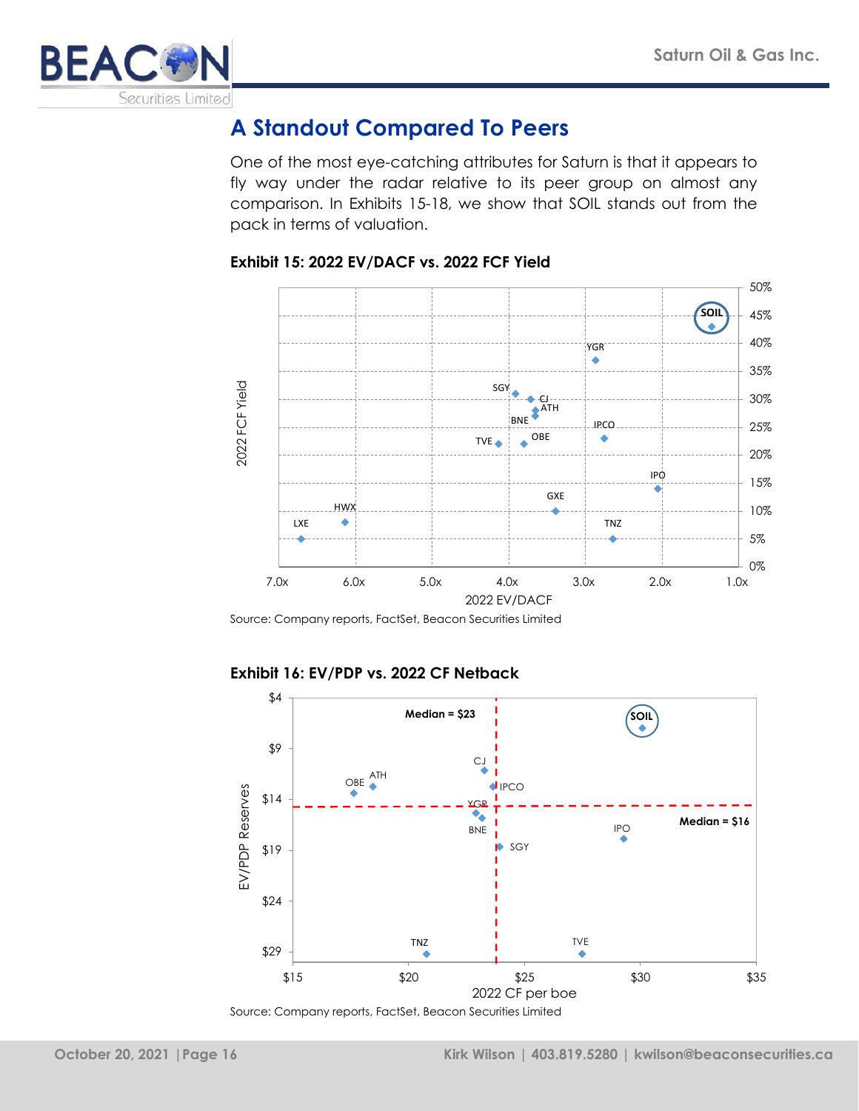

### **A Standout Compared To Peers**

One of the most eye-catching attributes for Saturn is that it appears to fly way under the radar relative to its peer group on almost any comparison. In Exhibits 15-18, we show that SOIL stands out from the pack in terms of valuation.



**Exhibit 15: 2022 EV/DACF vs. 2022 FCF Yield** 

Source: Company reports, FactSet, Beacon Securities Limited

#### **Exhibit 16: EV/PDP vs. 2022 CF Netback**

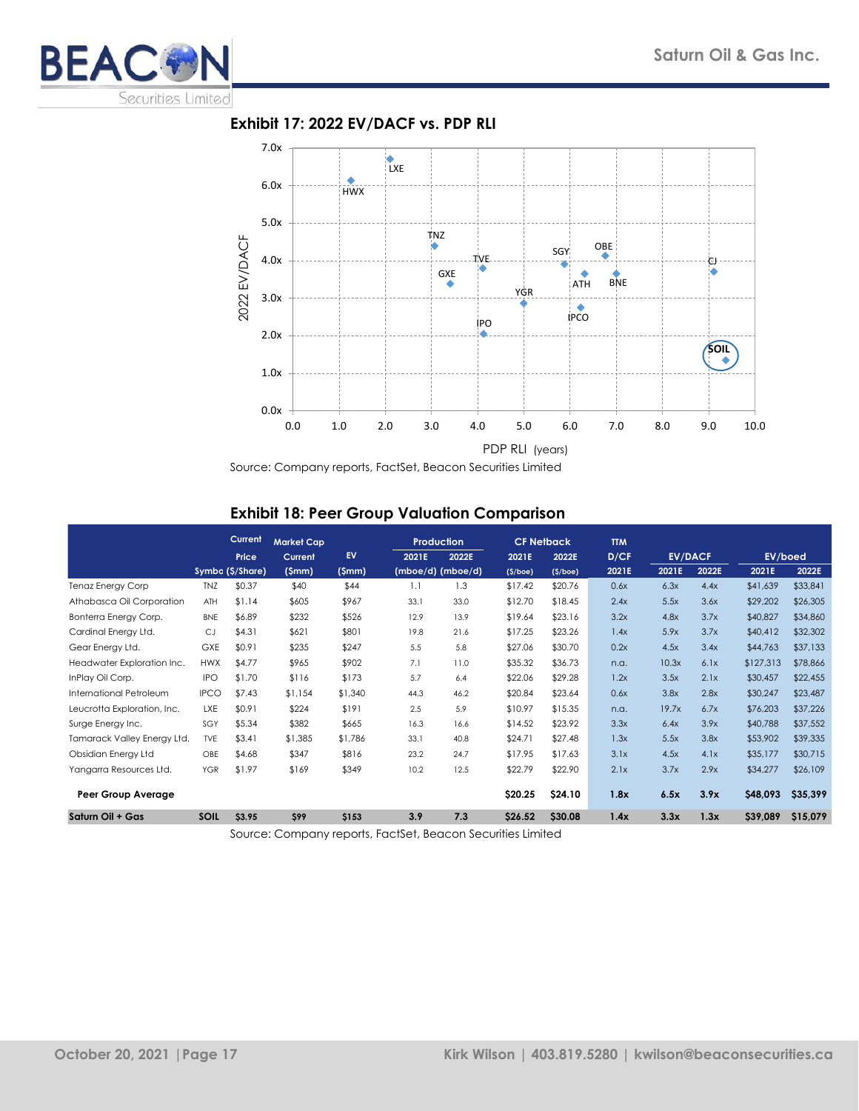



#### **Exhibit 18: Peer Group Valuation Comparison**

|                             |             | Current          | <b>Market Cap</b> |         | Production        |       |         | <b>CF Netback</b> | <b>TTM</b> |       |                |           |          |
|-----------------------------|-------------|------------------|-------------------|---------|-------------------|-------|---------|-------------------|------------|-------|----------------|-----------|----------|
|                             |             | Price            | Current           | EV      | 2021E             | 2022E | 2021E   | 2022E             | D/CF       |       | <b>EV/DACF</b> |           | EV/boed  |
|                             |             | Symbo (\$/Share) | (Smm)             | (Smm)   | (mboe/d) (mboe/d) |       | (S/boe) | (S/boe)           | 2021E      | 2021E | 2022E          | 2021E     | 2022E    |
| <b>Tenaz Energy Corp</b>    | <b>TNZ</b>  | \$0.37           | \$40              | \$44    | 1.1               | 1.3   | \$17.42 | \$20.76           | 0.6x       | 6.3x  | 4.4x           | \$41,639  | \$33,841 |
| Athabasca Oil Corporation   | ATH         | \$1.14           | \$605             | \$967   | 33.1              | 33.0  | \$12.70 | \$18.45           | 2.4x       | 5.5x  | 3.6x           | \$29,202  | \$26,305 |
| Bonterra Energy Corp.       | <b>BNE</b>  | \$6.89           | \$232             | \$526   | 12.9              | 13.9  | \$19.64 | \$23.16           | 3.2x       | 4.8x  | 3.7x           | \$40,827  | \$34,860 |
| Cardinal Energy Ltd.        | CJ          | \$4.31           | \$621             | \$801   | 19.8              | 21.6  | \$17.25 | \$23.26           | 1.4x       | 5.9x  | 3.7x           | \$40,412  | \$32,302 |
| Gear Energy Ltd.            | <b>GXE</b>  | \$0.91           | \$235             | \$247   | 5.5               | 5.8   | \$27.06 | \$30.70           | 0.2x       | 4.5x  | 3.4x           | \$44,763  | \$37,133 |
| Headwater Exploration Inc.  | <b>HWX</b>  | \$4.77           | \$965             | \$902   | 7.1               | 11.0  | \$35.32 | \$36.73           | n.a.       | 10.3x | 6.1x           | \$127,313 | \$78,866 |
| InPlay Oil Corp.            | <b>IPO</b>  | \$1.70           | \$116             | \$173   | 5.7               | 6.4   | \$22.06 | \$29.28           | 1.2x       | 3.5x  | 2.1x           | \$30,457  | \$22,455 |
| International Petroleum     | <b>IPCO</b> | \$7.43           | \$1,154           | \$1,340 | 44.3              | 46.2  | \$20.84 | \$23.64           | 0.6x       | 3.8x  | 2.8x           | \$30,247  | \$23,487 |
| Leucrotta Exploration, Inc. | LXE         | \$0.91           | \$224             | \$191   | 2.5               | 5.9   | \$10.97 | \$15.35           | n.a.       | 19.7x | 6.7x           | \$76,203  | \$37,226 |
| Surge Energy Inc.           | SGY         | \$5.34           | \$382             | \$665   | 16.3              | 16.6  | \$14.52 | \$23.92           | 3.3x       | 6.4x  | 3.9x           | \$40,788  | \$37,552 |
| Tamarack Valley Energy Ltd. | <b>TVE</b>  | \$3.41           | \$1,385           | \$1,786 | 33.1              | 40.8  | \$24.71 | \$27.48           | 1.3x       | 5.5x  | 3.8x           | \$53,902  | \$39,335 |
| Obsidian Energy Ltd         | OBE         | \$4.68           | \$347             | \$816   | 23.2              | 24.7  | \$17.95 | \$17.63           | 3.1x       | 4.5x  | 4.1x           | \$35,177  | \$30,715 |
| Yangarra Resources Ltd.     | <b>YGR</b>  | \$1.97           | \$169             | \$349   | 10.2              | 12.5  | \$22.79 | \$22.90           | 2.1x       | 3.7x  | 2.9x           | \$34,277  | \$26,109 |
| Peer Group Average          |             |                  |                   |         |                   |       | \$20.25 | \$24.10           | 1.8x       | 6.5x  | 3.9x           | \$48,093  | \$35,399 |
| Saturn Oil + Gas            | SOIL        | \$3.95           | <b>S99</b>        | \$153   | 3.9               | 7.3   | \$26.52 | \$30.08           | 1.4x       | 3.3x  | 1.3x           | \$39,089  | \$15,079 |

Source: Company reports, FactSet, Beacon Securities Limited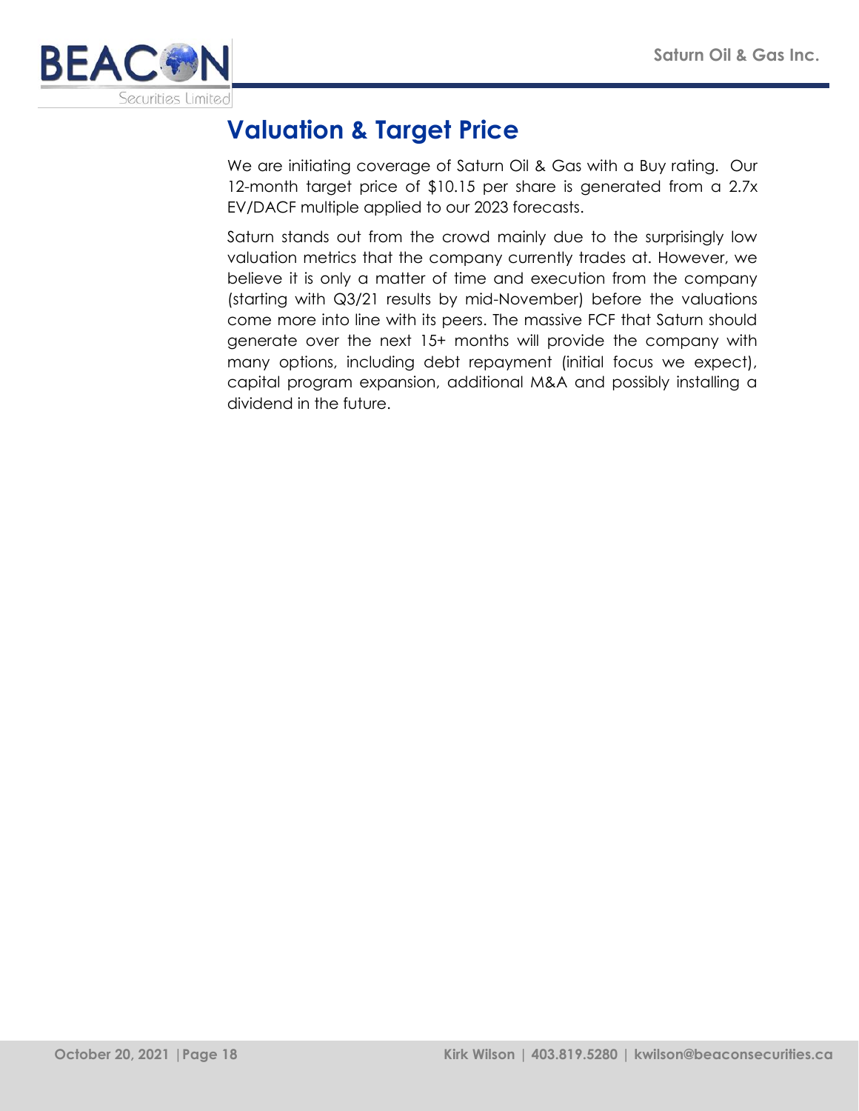

# **Valuation & Target Price**

We are initiating coverage of Saturn Oil & Gas with a Buy rating. Our 12-month target price of \$10.15 per share is generated from a 2.7x EV/DACF multiple applied to our 2023 forecasts.

Saturn stands out from the crowd mainly due to the surprisingly low valuation metrics that the company currently trades at. However, we believe it is only a matter of time and execution from the company (starting with Q3/21 results by mid-November) before the valuations come more into line with its peers. The massive FCF that Saturn should generate over the next 15+ months will provide the company with many options, including debt repayment (initial focus we expect), capital program expansion, additional M&A and possibly installing a dividend in the future.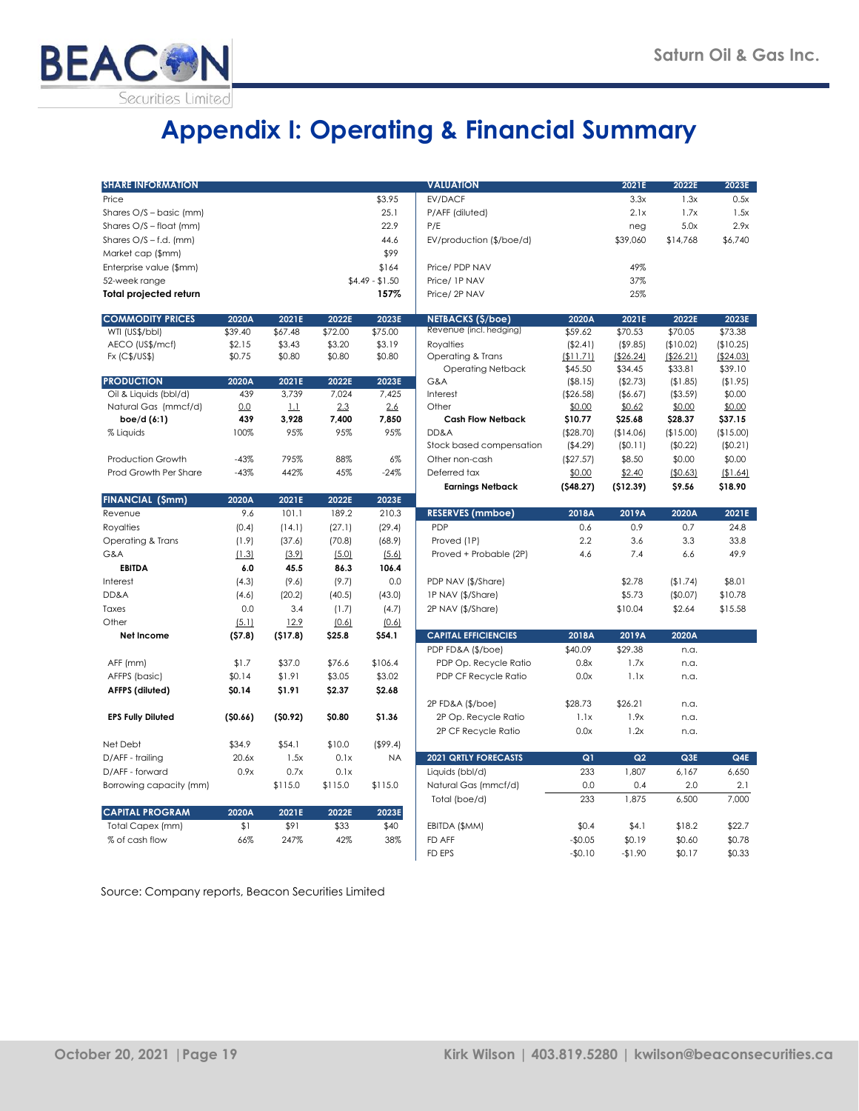

Securities Limited

# **Appendix I: Operating & Financial Summary**

| <b>SHARE INFORMATION</b>      |         |         |         |                 | <b>VALUATION</b>                              |                      | 2021E                 | 2022E                 | 2023E                 |
|-------------------------------|---------|---------|---------|-----------------|-----------------------------------------------|----------------------|-----------------------|-----------------------|-----------------------|
| Price                         |         |         |         | \$3.95          | EV/DACF                                       |                      | 3.3x                  | 1.3x                  | 0.5x                  |
| Shares O/S - basic (mm)       |         |         |         | 25.1            | P/AFF (diluted)                               |                      | 2.1x                  | 1.7x                  | 1.5x                  |
| Shares O/S - float (mm)       |         |         |         | 22.9            | P/E                                           |                      | neg                   | 5.0x                  | 2.9x                  |
| Shares O/S - f.d. (mm)        |         |         |         | 44.6            | EV/production (\$/boe/d)                      |                      | \$39,060              | \$14,768              | \$6,740               |
| Market cap (\$mm)             |         |         |         | \$99            |                                               |                      |                       |                       |                       |
| Enterprise value (\$mm)       |         |         |         | \$164           | Price/ PDP NAV                                |                      | 49%                   |                       |                       |
| 52-week range                 |         |         |         | $$4.49 - $1.50$ | Price/ IP NAV                                 |                      | 37%                   |                       |                       |
| <b>Total projected return</b> |         |         |         | 157%            | Price/ 2P NAV                                 |                      | 25%                   |                       |                       |
|                               |         |         |         |                 |                                               |                      |                       |                       |                       |
| <b>COMMODITY PRICES</b>       | 2020A   | 2021E   | 2022E   | 2023E           | <b>NETBACKS (\$/boe)</b>                      | 2020A                | 2021E                 | 2022E                 | 2023E                 |
| WTI (US\$/bbl)                | \$39.40 | \$67.48 | \$72.00 | \$75.00         | Revenue (incl. hedging)                       | \$59.62              | \$70.53               | \$70.05               | \$73.38               |
| AECO (US\$/mcf)               | \$2.15  | \$3.43  | \$3.20  | \$3.19          | Royalties                                     | ( \$2.41)            | $($ \$9.85)           | (\$10.02)             | (\$10.25)             |
| $Fx$ ( $C$/US$$ )             | \$0.75  | \$0.80  | \$0.80  | \$0.80          | Operating & Trans<br><b>Operating Netback</b> | (\$11.71)<br>\$45.50 | ( \$26.24)<br>\$34.45 | ( \$26.21)<br>\$33.81 | ( \$24.03)<br>\$39.10 |
| <b>PRODUCTION</b>             | 2020A   | 2021E   | 2022E   | 2023E           | G&A                                           | $($ \$8.15)          | ( \$2.73)             | (\$1.85)              | (\$1.95)              |
| Oil & Liquids (bbl/d)         | 439     | 3,739   | 7,024   | 7,425           | Interest                                      | ( \$26.58)           | (\$6.67)              | ( \$3.59)             | \$0.00                |
| Natural Gas (mmcf/d)          | 0.0     | $\perp$ | 2.3     | 2.6             | Other                                         | \$0.00               | \$0.62                | \$0.00                | \$0.00                |
| boe/d (6:1)                   | 439     | 3,928   | 7,400   | 7,850           | <b>Cash Flow Netback</b>                      | \$10.77              | \$25.68               | \$28.37               | \$37.15               |
| % Liquids                     | 100%    | 95%     | 95%     | 95%             | DD&A                                          | (\$28.70)            | (\$14.06)             | (\$15.00)             | (\$15.00)             |
|                               |         |         |         |                 | Stock based compensation                      | (\$4.29)             | (\$0.11)              | (\$0.22)              | (\$0.21)              |
| Production Growth             | $-43%$  | 795%    | 88%     | 6%              | Other non-cash                                | (\$27.57)            | \$8.50                | \$0.00                | \$0.00                |
| Prod Growth Per Share         | $-43%$  | 442%    | 45%     | $-24%$          | Deferred tax                                  | \$0.00               | \$2.40                | (\$0.63)              | (\$1.64)              |
|                               |         |         |         |                 | <b>Earnings Netback</b>                       | (548.27)             | (512.39)              | \$9.56                | \$18.90               |
| <b>FINANCIAL (\$mm)</b>       | 2020A   | 2021E   | 2022E   | 2023E           |                                               |                      |                       |                       |                       |
| Revenue                       | 9.6     | 101.1   | 189.2   | 210.3           | <b>RESERVES</b> (mmboe)                       | 2018A                | 2019A                 | 2020A                 | 2021E                 |
| Royalties                     | (0.4)   | (14.1)  | (27.1)  | (29.4)          | <b>PDP</b>                                    | 0.6                  | 0.9                   | 0.7                   | 24.8                  |
| Operating & Trans             | (1.9)   | (37.6)  | (70.8)  | (68.9)          | Proved (1P)                                   | 2.2                  | 3.6                   | 3.3                   | 33.8                  |
| G&A                           | (1.3)   | (3.9)   | (5.0)   | (5.6)           | Proved + Probable (2P)                        | 4.6                  | 7.4                   | 6.6                   | 49.9                  |
| <b>EBITDA</b>                 | 6.0     | 45.5    | 86.3    | 106.4           |                                               |                      |                       |                       |                       |
| Interest                      | (4.3)   | (9.6)   | (9.7)   | 0.0             | PDP NAV (\$/Share)                            |                      | \$2.78                | (\$1.74)              | \$8.01                |
| DD&A                          | (4.6)   | (20.2)  | (40.5)  | (43.0)          | 1P NAV (\$/Share)                             |                      | \$5.73                | (\$0.07)              | \$10.78               |
| Taxes                         | 0.0     | 3.4     | (1.7)   | (4.7)           | 2P NAV (\$/Share)                             |                      | \$10.04               | \$2.64                | \$15.58               |
| Other                         | (5.1)   | 12.9    | (0.6)   | (0.6)           |                                               |                      |                       |                       |                       |
| Net Income                    | (57.8)  | (517.8) | \$25.8  | \$54.1          | <b>CAPITAL EFFICIENCIES</b>                   | 2018A                | 2019A                 | 2020A                 |                       |
|                               |         |         |         |                 | PDP FD&A (\$/boe)                             | \$40.09              | \$29.38               | n.a.                  |                       |
| AFF (mm)                      | \$1.7   | \$37.0  | \$76.6  | \$106.4         | PDP Op. Recycle Ratio                         | 0.8x                 | 1.7x                  | n.a.                  |                       |
| AFFPS (basic)                 | \$0.14  | \$1.91  | \$3.05  | \$3.02          | PDP CF Recycle Ratio                          | 0.0x                 | 1.1x                  | n.a.                  |                       |
| AFFPS (diluted)               | \$0.14  | \$1.91  | \$2.37  | \$2.68          |                                               |                      |                       |                       |                       |
|                               |         |         |         |                 | 2P FD&A (\$/boe)                              | \$28.73              | \$26.21               | n.a.                  |                       |
| <b>EPS Fully Diluted</b>      | (50.66) | (50.92) | \$0.80  | \$1.36          | 2P Op. Recycle Ratio                          | 1.1x                 | 1.9x                  | n.a.                  |                       |
|                               |         |         |         |                 | 2P CF Recycle Ratio                           | 0.0x                 | 1.2x                  | n.a.                  |                       |
| Net Debt                      | \$34.9  | \$54.1  | \$10.0  | $($ \$99.4)     |                                               |                      |                       |                       |                       |
| D/AFF - trailing              | 20.6x   | 1.5x    | 0.1x    | <b>NA</b>       | <b>2021 QRTLY FORECASTS</b>                   | Q1                   | Q <sub>2</sub>        | Q3E                   | Q4E                   |
| D/AFF - forward               | 0.9x    | 0.7x    | 0.1x    |                 | Liquids (bbl/d)                               | 233                  | 1,807                 | 6,167                 | 6,650                 |
| Borrowing capacity (mm)       |         | \$115.0 | \$115.0 | \$115.0         | Natural Gas (mmcf/d)                          | 0.0                  | 0.4                   | 2.0                   | 2.1                   |
|                               |         |         |         |                 | Total (boe/d)                                 | 233                  | 1,875                 | 6,500                 | 7,000                 |
| <b>CAPITAL PROGRAM</b>        | 2020A   | 2021E   | 2022E   | 2023E           |                                               |                      |                       |                       |                       |
| Total Capex (mm)              | \$1     | \$91    | \$33    | \$40            | EBITDA (\$MM)                                 | \$0.4                | \$4.1                 | \$18.2                | \$22.7                |
| % of cash flow                | 66%     | 247%    | 42%     | 38%             | FD AFF                                        | $-$0.05$             | \$0.19                | \$0.60                | \$0.78                |
|                               |         |         |         |                 | FD EPS                                        | $-$0.10$             | $-$1.90$              | \$0.17                | \$0.33                |
|                               |         |         |         |                 |                                               |                      |                       |                       |                       |

Source: Company reports, Beacon Securities Limited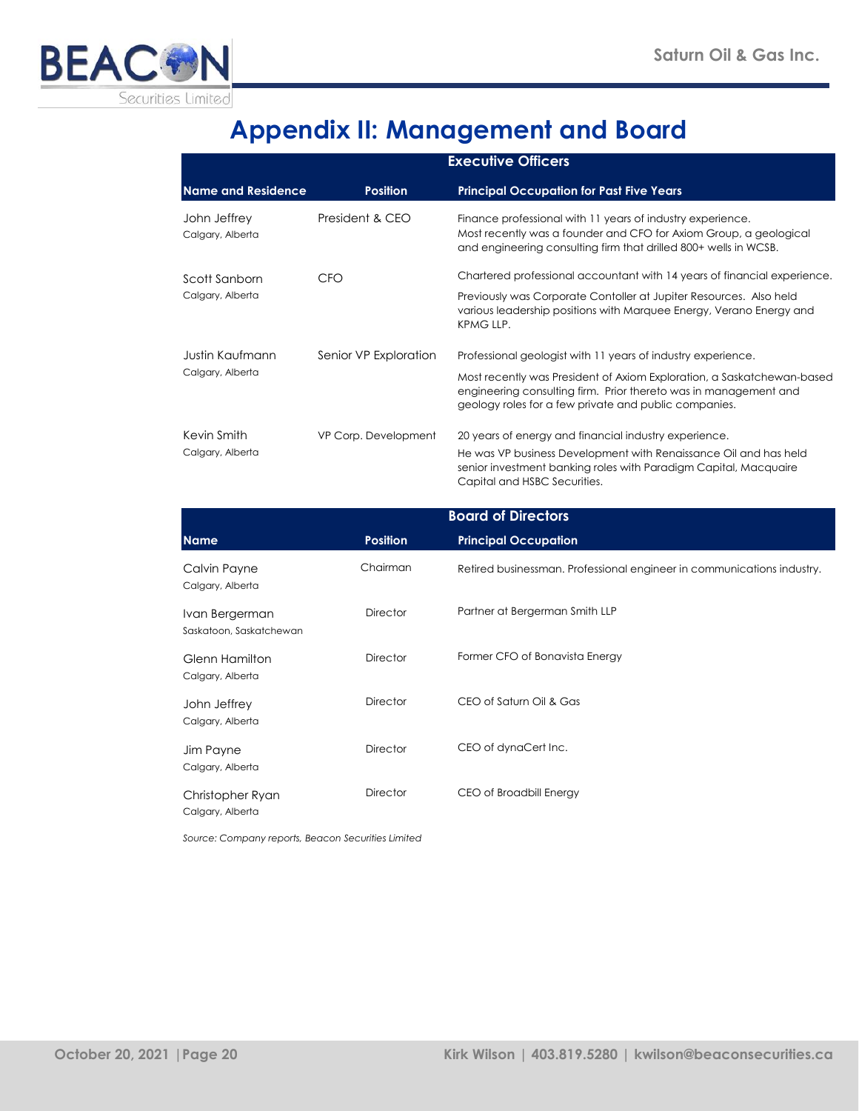

# **Appendix II: Management and Board**

| <b>Executive Officers</b>        |                       |                                                                                                                                                                                                     |  |  |  |  |
|----------------------------------|-----------------------|-----------------------------------------------------------------------------------------------------------------------------------------------------------------------------------------------------|--|--|--|--|
| <b>Name and Residence</b>        | <b>Position</b>       | <b>Principal Occupation for Past Five Years</b>                                                                                                                                                     |  |  |  |  |
| John Jeffrey<br>Calgary, Alberta | President & CEO       | Finance professional with 11 years of industry experience.<br>Most recently was a founder and CFO for Axiom Group, a geological<br>and engineering consulting firm that drilled 800+ wells in WCSB. |  |  |  |  |
| Scott Sanborn                    | <b>CFO</b>            | Chartered professional accountant with 14 years of financial experience.                                                                                                                            |  |  |  |  |
| Calgary, Alberta                 |                       | Previously was Corporate Contoller at Jupiter Resources. Also held<br>various leadership positions with Marquee Energy, Verano Energy and<br>KPMG LLP.                                              |  |  |  |  |
| Justin Kaufmann                  | Senior VP Exploration | Professional geologist with 11 years of industry experience.                                                                                                                                        |  |  |  |  |
| Calgary, Alberta                 |                       | Most recently was President of Axiom Exploration, a Saskatchewan-based<br>engineering consulting firm. Prior thereto was in management and<br>geology roles for a few private and public companies. |  |  |  |  |
| Kevin Smith                      | VP Corp. Development  | 20 years of energy and financial industry experience.                                                                                                                                               |  |  |  |  |
| Calgary, Alberta                 |                       | He was VP business Development with Renaissance Oil and has held<br>senior investment banking roles with Paradigm Capital, Macquaire<br>Capital and HSBC Securities.                                |  |  |  |  |

| <b>Board of Directors</b>                 |                 |                                                                        |  |  |  |  |
|-------------------------------------------|-----------------|------------------------------------------------------------------------|--|--|--|--|
| <b>Name</b>                               | <b>Position</b> | <b>Principal Occupation</b>                                            |  |  |  |  |
| Calvin Payne<br>Calgary, Alberta          | Chairman        | Retired businessman. Professional engineer in communications industry. |  |  |  |  |
| Ivan Bergerman<br>Saskatoon, Saskatchewan | <b>Director</b> | Partner at Bergerman Smith LLP                                         |  |  |  |  |
| <b>Glenn Hamilton</b><br>Calgary, Alberta | <b>Director</b> | Former CFO of Bonavista Energy                                         |  |  |  |  |
| John Jeffrey<br>Calgary, Alberta          | Director        | CEO of Saturn Oil & Gas                                                |  |  |  |  |
| Jim Payne<br>Calgary, Alberta             | Director        | CEO of dynaCert Inc.                                                   |  |  |  |  |
| Christopher Ryan<br>Calgary, Alberta      | <b>Director</b> | CEO of Broadbill Energy                                                |  |  |  |  |

*Source: Company reports, Beacon Securities Limited*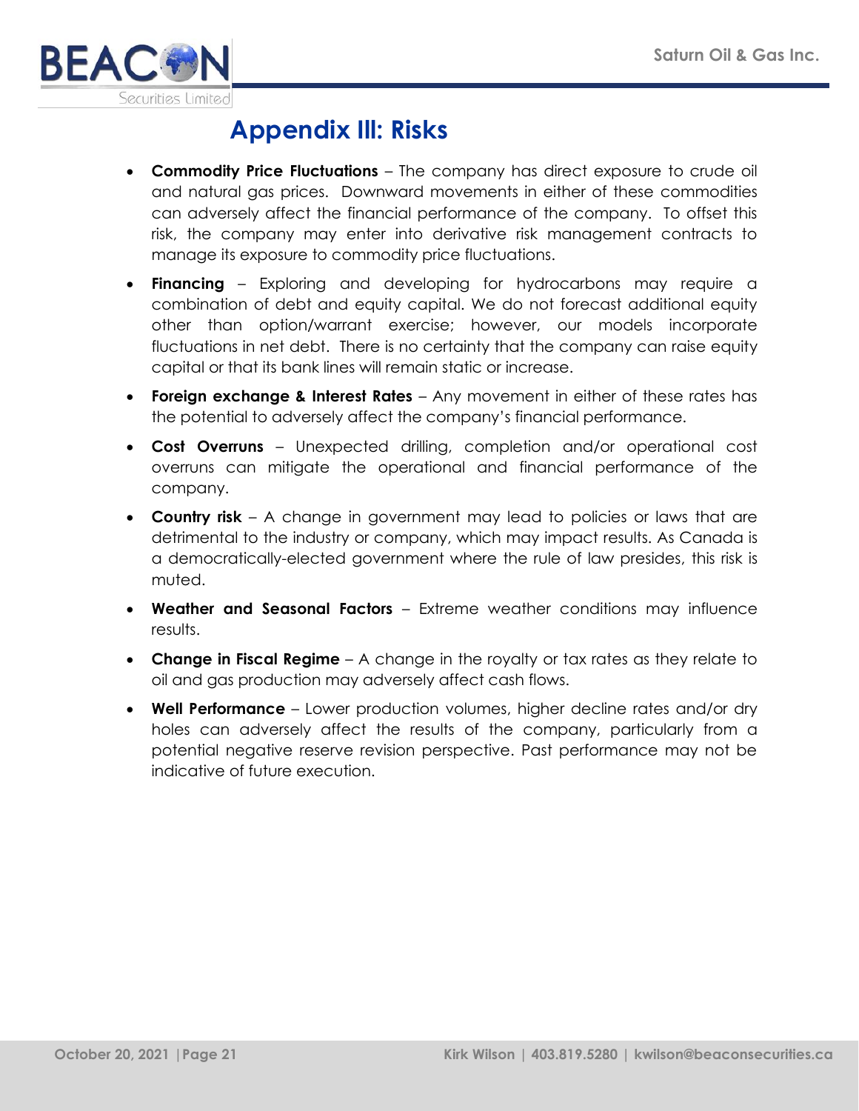

# **Appendix Ill: Risks**

- **Commodity Price Fluctuations**  The company has direct exposure to crude oil and natural gas prices. Downward movements in either of these commodities can adversely affect the financial performance of the company. To offset this risk, the company may enter into derivative risk management contracts to manage its exposure to commodity price fluctuations.
- **Financing** Exploring and developing for hydrocarbons may require a combination of debt and equity capital. We do not forecast additional equity other than option/warrant exercise; however, our models incorporate fluctuations in net debt. There is no certainty that the company can raise equity capital or that its bank lines will remain static or increase.
- **Foreign exchange & Interest Rates** Any movement in either of these rates has the potential to adversely affect the company's financial performance.
- **Cost Overruns** Unexpected drilling, completion and/or operational cost overruns can mitigate the operational and financial performance of the company.
- **Country risk** A change in government may lead to policies or laws that are detrimental to the industry or company, which may impact results. As Canada is a democratically-elected government where the rule of law presides, this risk is muted.
- **Weather and Seasonal Factors** Extreme weather conditions may influence results.
- **Change in Fiscal Regime** A change in the royalty or tax rates as they relate to oil and gas production may adversely affect cash flows.
- **Well Performance** Lower production volumes, higher decline rates and/or dry holes can adversely affect the results of the company, particularly from a potential negative reserve revision perspective. Past performance may not be indicative of future execution.